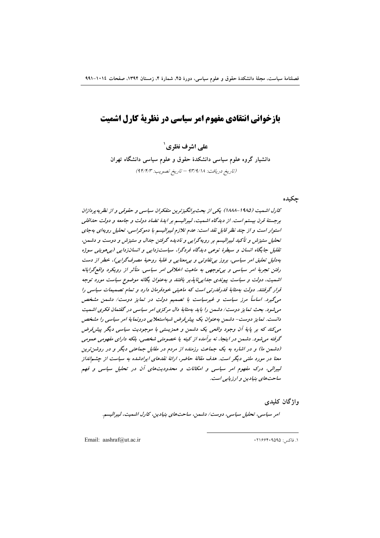# بازخوانی انتقادی مفهوم امر سیاسی در نظریهٔ کارل اشمیت

علے اشرف نظری <sup>1</sup> دانشیار گروه علوم سیاسی دانشکدهٔ حقوق و علوم سیاسی دانشگاه تهران (تاريخ دريافت: ٩٣/٩/١٨ - تاريخ تصويب: ٩٢/٢/٣)

جكيده

كارل اشمیت (۱۹۸۵-۱۸۸۸) یکی از بحثبرانگیزترین متفکران سیاسی و حقوقی و از نظریه پردازان برجستهٔ قرن بیستم است. از دیدگاه اشمیت، لیبرالیسم بر ایدهٔ تضاد دولت و جامعه و دولت حداقلی استوار است و از چند نظر قابل نقد است: عدم تلازم لیبرالیسم با دموکراسی، تحلیل رویهای بهجای تحلیل ستیزش و تأکید لیبرالیسم بر رویهگرایی و نادیده گرفتن جدال و ستیزش و دوست و دشمن، تقلیل جایگاه انسان و سیطرهٔ نوعی دیدگاه فردگرا، سیاستزدایی و انسانزدایی (بی هویتی سوژه بەدلیل تعلیق امر سیاسی، بروز بی تفاوتی و بی معنایی و غلبهٔ روحیهٔ مصرف گرایی)، خطر از دست رفتن تجربهٔ امر سیاسی و بی توجهی به ماهیت اخلاقی امر سیاسی. متأثر از رویکرد واقع گرایانه اشمیت، دولت و سیاست پیوندی جدایی ناپذیر یافتند و به عنوان یگانه موضوع سیاست مورد توجه قرار گرفتند. دولت به شابهٔ قدرقدرتی است که ماهیتی خودفرمان دارد و تمام تصمیمات سیاسی را می گیرد. اساساً مرز سیاست و غیرسیاست با تصمیم دولت در تمایز دوست/ دشمن مشخص می شود. بحث تمایز دوست/ دشمن را باید به شابهٔ دال مرکزی امر سیاسی در گفتمان فکری اشمیت دانست. تمایز دوست- دشمن به عنوان یک پیش فرض شبه استعلایی درونمایهٔ امر سیاسی را مشخص می کند که بر پایهٔ آن وجود واقعی یک دشمن و همزیستی با موجودیت سیاسی دیگر پیش فرض گرفته می شود. دشمن در اینجا، نه برآمده از کینه یا خصومتی شخصی، بلکه دارای مفهومی عمومی (دشمن ما) و در اشاره به یک جماعت رزمنده از مردم در مقابل جماعتبی دیگر و در روشن ترین معنا در مورد ملتی دیگر است. هدف مقالهٔ حاضر، ارائهٔ نقدهای ایرادشده به سیاست از چشم انداز لیبرالی، درک مفهوم امر سیاسی و امکانات و محدودیتهای آن در تحلیل سیاسی و فهم ساحت های بنیادین و ارزیابی است.

واژگان کلیدی

امر سیاسی، تحلیل سیاسی، دوست/ دشمن، ساحتهای بنیادین، کارل اشمیت، لیبرالیسم.

Email: aashraf@ut.ac.ir

١. فاكس: ٩٥٩٥٩٠٩٥٩٠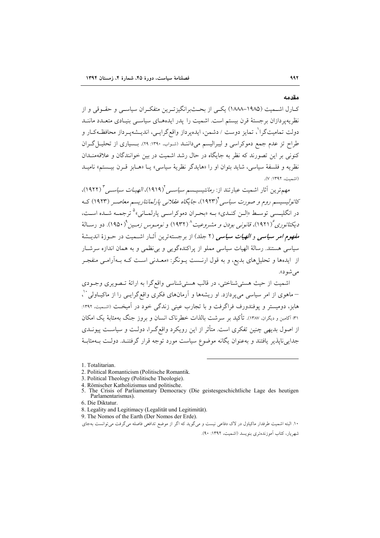#### مقدمه

997

کبارل اشتمیت (۱۹۸۵–۱۸۸۸) یکبی از بحث برانگیز تیرین متفکیران سیاستی و حقیوقی و از نظریهپردازان برجستهٔ قرن بیستم است. اشمیت را پدر ایدههای سیاسـی بنیـادی متعـدد ماننـد دولت تمامیتگرا<sup>י</sup>، تمایز دوست / دشمن، ایدهپرداز واقعگرایـی، اندیــشهپـرداز محافظــهکـار و طراح تز عدم جمع دموکراسی و لیبرالیسم میداننــد (شـواب. ۱۳۹۰: ۲۹). بــسیاری از تحلیــل گــران کنونی بر این تصورند که نظر به جایگاه در حال رشد اشمیت در بین خوانندگان و علاقهمنـدان نظريه و فلسفهٔ سياسي، شايد بتوان او را «هايدگر نظريهٔ سياسي» يــا «هــابز قــرن بيــستم» ناميــد (اشميت، ١٣٩٢: ٧).

مهم ترين أثار اشميت عبارتند از: *رمانتيسيسم سياسي (١٩١٩)، الهيبات سياسي* (١٩٢٢)، کاتولیسیسم روم و صورت سیاسی (۱۹۲۳)، جایگاه عقلانی پارلمانتاریسم معاصیر (۱۹۲۳) ک در انگليسي توسط «الــز كنــدي» بــه «بحـران دموكراســي پارلمــاني» ترجمــه شــده اســت، دیکتا*توری (*۱۹۲۱)، ق*انونبی بودن و مشروعیت* <sup>^</sup> (۱۹۳۲) و *نومسوس زمین* ° (۱۹۵۰). دو رسـالهٔ *مفهوم امر سیاسی و الهیات سیاسی* (۲ جلد) از برجستهترین آثـار اشــمیت در حــوزهٔ اندیــشهٔ سیاسی هستند. رسالهٔ الهیات سیاسی مملو از پراکندهگویی و بی نظمی و به همان اندازه سرشـار از ایدهها و تحلیلهای بدیع، و به قول ارنــست پــونگر: «معــدنی اســت کــه بــهآرامــی منفجــر مي شو د».

اشمیت از حیث هستی شناختی، در قالب هستی شناسی واقع گرا به ارائهٔ تـصویری وجـودی – ماهوی از امر سیاسی میپردازد. او ریشهها و آرمانهای فکری واقع گرایــی را از ماکیــاولی ``، هابز، دومیستر و یوفندورف فراگرفت و با تجارب عینی زندگی خود در آمیخت (اشمیت، ۱۳۹۲: ۳۱؛ آگامبن و دیگران، ۱۳۸۷). تأکید بر سرشت بالذات خطرناک انسان و بروز جنگ بهمثابهٔ یک امکان از اصول بدیهی چنین تفکری است. متأثر از این رویکرد واقع گـرا، دولـت و سیاسـت پیونــدی جدایییناپذیر یافتند و بهعنوان یگانه موضوع سیاست مورد توجه قرار گرفتنـد. دولـت بــهمثابــهٔ

1. Totalitarian.

- 2. Political Romanticism (Politische Romantik.
- 3. Political Theology (Politische Theologie).
- 4. Römischer Katholizismus und politische.
- The Crisis of Parliamentary Democracy (Die geistesgeschichtliche Lage des heutigen Parlamentarismus).
- 6. Die Diktatur.
- 8. Legality and Legitimacy (Legalität und Legitimität).
- 9. The Nomos of the Earth (Der Nomos der Erde).

۱۰. البته اشمیت طرفدار ماکیاول در لاک دفاعی نیست و میگوید که اگر از موضع تدافعی فاصله میگرفت میتوانست بهجای

شهریار، کتاب آموزندهتری بنویسد (اشمیت، ۱۳۹۲: ۹۰).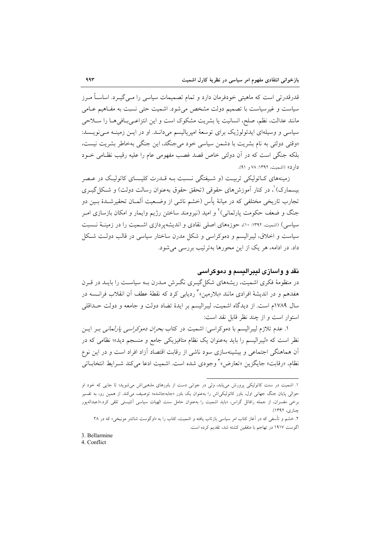قدرقدرتی است که ماهیتی خودفرمان دارد و تمام تصمیمات سیاسی را مــی گیــرد. اساســاً مــرز سیاست و غیرسیاست با تصمیم دولت مشخص می شود. اشمیت حتی نسبت به مفـاهیم عـامی مانند عدالت، نظم، صلح، انسانيت يا بشريت مشكوك است و اين انتزاعـيبـافيهـا را سـلاحي سیاسی و وسیلهای ایدئولوژیک برای توسعهٔ امیریالیسم می دانـد. او در ایــن زمینــه مــی نویــسد: «وقتی دولتی به نام بشریت با دشمن سیاسی خود می جنگد، این جنگی بهخاطر بشریت نیست، بلکه جنگی است که در آن دولتی خاص قصد غصب مفهومی عام را علیه رقیب نظـامی خــود دار د» (اشمیت، ۱۳۹۲: ۷۸ و ۹۱).

زمینههای کـاتولیکی تربیـت (و شـیفتگی نـسبت بــه قــدرت کلیـسای کاتولیـک در عــصر بیسمارک) ٰ، در کنار اَموزش،های حقوقی (تحقق حقوق بهعنوان رسالت دولت) و شـکل گیــری تجارب تاریخی مختلفی که در میانهٔ یأس (خشم ناشی از وضـعیت اَلمـان تحقیرشـدهٔ بـین دو جنگ و ضعف حکومت پارلمانی) ٔ و امید (نیرومند ساختن رژیم وایمار و امکان بازسازی امـر سیاسی) (اشمیت، ۱۳۹۲: ۱۰)، حوزههای اصلی نقادی و اندیشهپردازی اشـمیت را در زمینـهٔ نـسبت سیاست و اخلاق، لیبرالیسم و دموکراسی و شکل مدرن ساختار سیاسی در قالب دولت شکل داد. در ادامه، هر یک از این محورها بهترتیب بررسی میشود.

### نقد و واسازی لیبرالیسم و دموکراسی

در منظومهٔ فکری اشمیت، ریشههای شکل گیـری نگـرش مـدرن بـه سیاسـت را بایـد در قـرن هفدهم و در اندیشهٔ افرادی مانند «بلارمین» ٔ ردیابی کرد که نقطهٔ عطف آن انقلاب فرانـــــه در سال ۱۷۸۹م است. از دیدگاه اشمیت، لیبرالیسم بر ایدهٔ تضاد دولت و جامعه و دولت حـداقلی استوار است و از چند نظر قابل نقد است:

۱. عدم تلازم لیبرالیسم با دموکراسی: اشمیت در کتاب *بحران دموکراسی پارلمانی* بـر ایـن نظر است که «لیبرالیسم را باید بهعنوان یک نظام متافیزیکی جامع و منسجم دید»؛ نظامی که در آن هماهنگی اجتماعی و بیشینهسازی سود ناشی از رقابت اقتصاد آزاد افراد است و در این نوع نظام، «رقابت» جايگزين «تعارض» ٌ وجودي شده است. اشميت ادعا مي كند شـرايط انتخابــاتي

۱. اشمیت در سنت کاتولیکی پرورش میLبد، ولی در جوانی دست از باورهای مذهبی(ش میشوید؛ تا جایی که خود او حوالی پایان جنگ جهانی اول، باور کاتولیکیاش را بهعنوان یک باور «جابهجاشده» توصیف میکند. از همین رو، به تفسیر برخی مفسران، از جمله رافائل گراس، «باید اشمیت را بهعنوان حامل سنت الهیات سیاسی آتئیستی تلقی کرد.»(عبدالهپور حناري، ١٣٩٢).

۲. خشم و تأسفی که در آغاز کتاب امر سیاسی بازتاب یافته و اشمیت، کتاب را به «اوگوست شائتنر مونیخی» که در ۲۸ اگوست ۱۹۱۷ در تهاجم با متفقین کشته شد، تقدیم کرده است.

<sup>3.</sup> Bellarmine

<sup>4.</sup> Conflict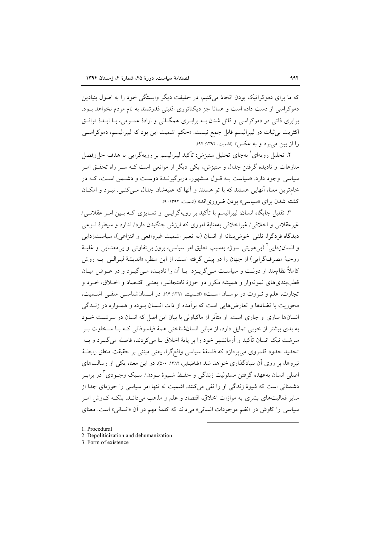که ما برای دموکراتیک بودن اتخاذ میکنیم، در حقیقت دیگر وابستگی خود را به اصول بنیادین دموکراسی از دست داده است و همانا جز دیکتاتوری اقلیتی قدرتمند به نام مردم نخواهد بـود. برابری ذاتی در دموکراسی و قائل شدن بـه برابـری همگـانی و ارادهٔ عمـومی، بـا ایـدهٔ توافـق اکثریت بی ثبات در لیبرالیسم قابل جمع نیست. «حکم اشمیت این بود که لیبرالیسم، دموکراسـی را از بین می بود و به عکس» (اشمیت، ۱۳۹۲: ۹۴).

۲. تحلیل رویهای ٰ بهجای تحلیل ستیزش: تأکید لیبرالیسم بر رویهگرایی با هدف حلeوفصل منازعات و نادیده گرفتن جدال و ستیزش، یکی دیگر از موانعی است کـه ســر راه تحقــق امــر سیاسی وجود دارد. «سیاست بـه قـول مـشهور، دربر گیرنـدهٔ دوسـت و دشـمن اسـت، کـه در خامترین معنا، اُنھایی هستند که با تو هستند و اُنھا که علیهشان جدال مے کنے. نب د و امکـان کشته شدن برای «سیاسی» بودن ضروریاند» (اشمیت، ۱۳۹۲: ۹).

۳. تقلیل جایگاه انسان: لیبرالیسم با تأکید بر رویهگرایــی و تمــایزی کــه بــین امــر عقلانــی/ غیرعقلانی و اخلاقی/غیراخلاقی بهمثابهٔ اموری که ارزش جنگیدن دارد/ ندارد و سیطرهٔ نـوعی ديدگاه فردگرا، تلقى خوش بينانه از انسان (به تعبير اشميت غيرواقعى و انتزاعى)، سياستزدايى و انسانزدای<sub>ی</sub><sup>۲</sup> (ب<sub>ی</sub>هویتی سوژه بهسبب تعلیق امر سیاسی، بروز بی¤فاوتی و بیٖمعنـایی و غلبـهٔ روحيهٔ مصرف گرايي) از جهان را در پيش گرفته است. از اين منظر، «انديشهٔ ليبرالـي بــه روش کاملاً نظامِمند از دولت و سیاست مـی6ریـزد یـا آن را نادیـده مـی6یـرد و در عـوض میـان قطببندیهای نمونهوار و همیشه مکرر دو حوزهٔ نامتجانس، یعنـی اقتـصاد و اخــلاق، خــرد و تجارت، علم و ثـروت در نوسـان اسـت» (اشـميت، ١٣٩٢: ٩٢). در انـسانشناسـي منفـي اشـميت، .<br>محوریت با تضادها و تعارض هایی است که بر آمده از ذات انـسان بـوده و همـواره در زنــدگی انسانها ساری و جاری است. او متأثر از ماکیاولی با بیان این اصل که انسان در سرشت خــود به بدی بیشتر از خوبی تمایل دارد، از مبانی انسانشناختی همهٔ فیلسوفانی کـه بـا سـخاوت بـر سرشت نیک انسان تأکید و آرمانشهر خود را بر پایهٔ اخلاق بنا میکردند، فاصله میگیـرد و بــه تحدید حدود قلمروی میپردازد که فلسفهٔ سیاسی واقعگرا، یعنی مبتنی بر حقیقت منطق رابطـهٔ نیروها، بر روی آن بنیادگذاری خواهد شد (طباطبایی، ۱۳۸۲: ۵۰۰). در این معنا، یکی از رسالتهای اصلي انسان بهعهده گرفتن مسئوليت زندگي و حفـظ شـيوهٔ بـودن/ سـبک وجـودي <sup>۳</sup> در برابـر دشمنانی است که شیوهٔ زندگی او را نفی میکنند. اشمیت نه تنها امر سیاسی را حوزهای جدا از سایر فعالیتهای بشری به موازات اخلاق، اقتصاد و علم و مذهب می دانـد. بلکـه کــاوش امــر سیاسی را کاوش در «نظم موجودات انسانی» میداند که کلمهٔ مهم در آن «انسانی» است. معنای

- 1. Procedural
- 2. Depoliticization and dehumanization
- 3. Form of existence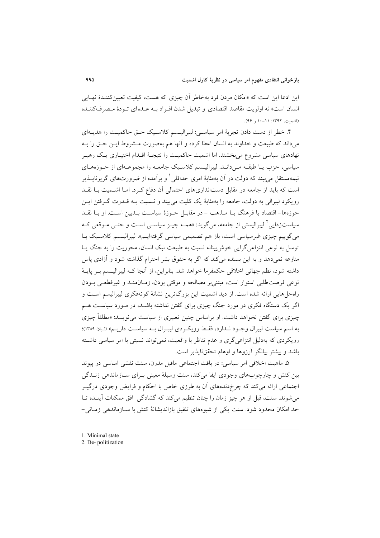این ادعا این است که «امکان مردن فرد بهخاطر آن چیزی که هست، کیفیت تعیین کننــدهٔ نهــایی انسان است» نه اولويت مقاصد اقتصادي و تبديل شدن افـراد بـه عـده اي تـودهٔ مـصرفکننـده (اشمیت، ۱۳۹۲: ۱۱–۱۰ و ۹۶).

۴. خطر از دست دادن تجربهٔ امر سیاسی: لیبرالیـسم کلاسـیک حـق حاکمیـت را هدیـهای می داند که طبیعت و خداوند به انسان اعطا کرده و آنها هم بهصورت مـشروط ایــن حــق را بــه نهادهای سیاسی مشروع میبخشند. اما اشمیت حاکمیـت را نتیجـهٔ اقـدام اختیـاری یـک رهبـر سیاسی، حزب یـا طبقـه مـیدانـد. لیبرالیـسم کلاسـیک جامعـه را مجموعـهای از حـوزههـای نیمهمستقل می بیند که دولت در آن بهمثابهٔ امری حداقلی ٰ و بر اَمده از ضرورتهای گر یزناپــذیر است که باید از جامعه در مقابل دستاندازیهای احتمالی آن دفاع کـرد. امـا اشـمیت بـا نقـد رویکرد لیبرالی به دولت، جامعه را بهمثابهٔ یک کلیت می بیند و نـسبت بــه قــدرت گــرفتن ایــن حوزهها- اقتصاد یا فرهنگ یــا مــذهب – در مقابــل حــوزهٔ سیاســت بــدبین اســت. او بــا نقــد سیاستزدای<sub>ی</sub> <sup>۲</sup> لیبرالیستی از جامعه، میگوید: «همـه چیـز سیاسـی اسـت و حتـبی مـوقعی کـه میگوییم چیزی غیرسیاسی است، باز هم تصمیمی سیاسی گرفتهایـم». لیبرالیـسم کلاسـیک بـا توسل به نوعی انتزاعی گرایی خوش بینانه نسبت به طبیعت نیک انسان، محوریت را به جنگ یـا منازعه نمی دهد و به این بسنده می کند که اگر به حقوق بشر احترام گذاشته شود و آزادی پاس داشته شود، نظم جهاني اخلاقي حكمفرما خواهد شد. بنابراين، از آنجا كـه ليبراليــسم بــر پايــهٔ نوعی فرصتطلبی استوار است، مبتنی بر مصالحه و موقتی بودن، زمـان منـد و غیرقطعـی بـودن راهحلهایی ارائه شده است. از دید اشمیت این بزرگترین نشانهٔ کوتهفکری لیبرالیسم است و اگر یک دستگاه فکری در مورد جنگ چیزی برای گفتن نداشته باشــد، در مــورد سیاســت هــم چیزی برای گفتن نخواهد داشت. او براساس چنین تعبیری از سیاست میiویسد: «مطلقاً چیزی به اسم سیاست لیبرال وجـود نـدارد، فقـط رویکـردی لیبـرال بـه سیاسـت داریـم» (لـیلا، ۱۳۸۹)؛ رویکردی که بهدلیل انتزاعیگری و عدم تناظر با واقعیت، نمی تواند نسبتی با امر سیاسی داشته باشد و بیشتر بیانگر آرزوها و اوهام تحققناپذیر است.

۵. ماهيت اخلاقي امر سياسي: در بافت اجتماعي ماقبل مدرن، سنت نقشي اساسي در پيوند بین کنش و چارچوبهای وجودی ایفا میکند، سنت وسیلهٔ معینی بـرای سـازماندهی زنــدگی اجتماعی ارائه می کند که چرخ دندههای آن به طرزی خاص با احکام و فرایض وجودی درگیـر می شوند. سنت، قبل از هر چیز زمان را چنان تنظیم می کند که گشادگی افق ممکنات آینـده تـا حد امکان محدود شود. سنت یکی از شیوههای تلفیق بازاندیشانهٔ کنش با سـازماندهی زمـانی-

- 1. Minimal state
- 2. De-politization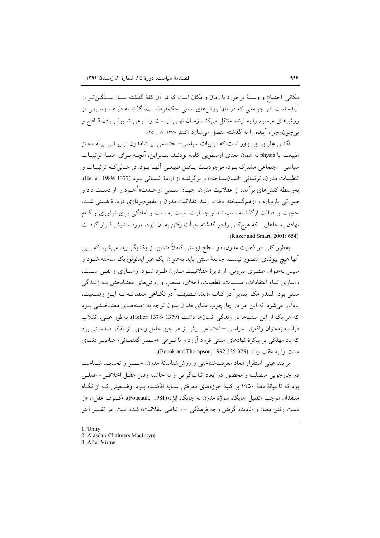مکانی اجتماع و وسیلهٔ برخورد با زمان و مکان است که در آن کفهٔ گذشته بسیار سـنگین تـر از آینده است. در جوامعی که در آنها روش های سنتی حکمفرماست، گذشته طیـف وسـیعی از روش های مرسوم را به آینده منتقل می کند، زمـان تهـی نیـست و نــوعی شــیوهٔ بــودن قــاطع و بے چونوچرا، آینده را به گذشته متصل می سازد (گیدنز ۱۳۷۸: ۱۷ و ۴۵).

اگنس هِلر بر این باور است که ترتیبات سیاسی–اجتماعی پیـشامدرن ترتیبـاتی برآمـده از طبیعت یا physis به همان معنای ارسطویی کلمه بودنـد. بنـابراین، آنچـه بـرای همـهٔ ترتیبـات سیاسی – اجتماعی مشترک بـود، موجودیـت پـافتن طبیعـی آنهـا بـود. درحـالی کـه ترتیبـات و تنظيمات مدرن، ترتيباتي «انسان ساخته» و برگرفتـه از ارادهٔ انـساني بـود (Heller, 1989: 1377). بهواسطهٔ کنشهای بر اَمده از عقلانیت مدرن، جهـان سـنتی «وحـدت» <sup>(</sup>خــود را از دسـت داد و صورتی پارهپاره و ازهمگسیخته یافت. رشد عقلانیت مدرن و مفهومپردازی دربارهٔ هستی شـد، حجیت و اصالت ازگذشته سلب شد و جسارت نسبت به سنت و آمادگی برای نوآوری و گـام نهادن به جاهایی که هیچکس را در گذشته جرأت رفتن به آن نبود، مورد ستایش قــرار گرفــت (Ritzer and Smart, 2001: 654)

بهطور کلی در ذهنیت مدرن، دو سطح زیستی کاملاً متمایز از یکدیگر پیدا می شود که بـین آنها هیچ پیوندی متصور نیست. جامعهٔ سنتی باید بهعنوان یک غیر ایدئولوژیک ساخته شـود و سپس بهعنوان عنصری بیرونی، از دایرهٔ عقلانیت مـدرن طـرد شـود. واسـازی و نفـی سـنت، واسازی تمام اعتقادات، مسلمات، قطعیات، اخلاق، مذهب و روشهای معنـابخش بـه زنـدگی سنت<sub>ی</sub> بود. السدر مک اینتایر<sup>۲</sup> در کتاب *مابعد فـضیلت* ّ در نگــاه<sub>ی</sub> منتقدانــه بــه ایــن وضــعیت، یادآور می شود که این امر در چارچوب دنیای مدرن بدون توجه به زمینههـای معنابخـشی بـود كه هر يك از اين سنتها در زندگي انسانها داشت (1379 -1378 :Heller). بهطور عيني، انقلاب فرانسه بهعنوان واقعيتي سياسي –اجتماعي بيش از هر چيز حامل وجهي از تفكر ضدسنتي بود که باد مهلکی بر پیکرهٔ نهادهای سنتی فرود آورد و با نـوعی «حـصر گفتمـانی» عناصـر دنیـای سنت را به عقب راند (Bocok and Thompson, 1992:325-329).

برايند عيني استقرار ابعاد معرفتشناختي و روش شناسانهٔ مدرن، حـصر و تحديـد شـناخت در چارچوبی متصلب و محصور در ابعاد اثباتگرایی و به حاشیه رفتن عقـل اخلاقـی- عملـی بود که تا میانهٔ دههٔ ۱۹۵۰ بر کلیهٔ حوزههای معرفتی سـایه افکنـده بـود. وضـعیتی کـه از نگـاه منتقدان موجب «تقليل جايگاه سوژهٔ مدرن به جايگاه ابژه»(Foucault, 1981)، «کسوف عقل»، «از دست رفتن معنا» و «ناديده گرفتن وجه فرهنگي −ارتباطي عقلانيت» شده است. در تفسير «لئو

- 1. Unity
- 2. Alasdair Chalmers MacIntyre
- 3. After Virtue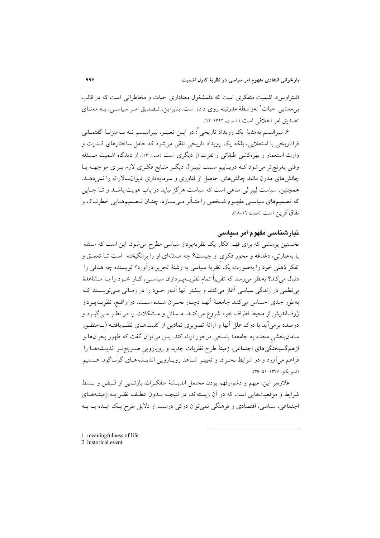اشتراوس»، اشمیت متفکری است که دلمشغول معناداری حیات و مخاطراتی است که در قالب بے معنایی حیات ٰ بهواسطهٔ مدرنیته روی داده است. بنابراین، تـصدیق امـر سیاسـی، بــه معنــای تصديق امر اخلاقى است (اشميت، ١٣٩٢: ١٢).

۶. ليبراليسم بهمثابهٔ يک رويداد تاريخي ٌ: در ايــن تعبيــر، ليبراليــسم نــه بــهمنزلــهٔ گفتمــانـي فراتاریخی با استعلایی، بلکه یک رویداد تاریخی تلقی می شود که حامل ساختارهای قــدرت و وارث استعمار و بهرهکشی طبقاتی و نفرت از دیگری است (ممان ١٣). از دیدگاه اشمیت مـسئله وقتی بغرنج تر می شود کـه دریـابیم سـنت لیبـرال دیگـر منـابع فکـری لازم بـرای مواجهــه بـا چالش های مدرن مانند چالش های حاصل از فناوری و سرمایهداری دیوان سالارانه را نمی دهـد. همچنین، سیاست لیبرالی مدعی است که سیاست هرگز نباید در باب هویت باشـد و تـا جـایی که تصمیمهای سیاسی مفهـوم شـخص را متـأثر مـیسـازد، چنـان تـصمیمهـایی خطرنـاک و نفاق آفرين است (همان: ١٩–١٨).

# تبارشناسی مفهوم امر سیاسی

نخستین پرسشی که برای فهم افکار یک نظریهپرداز سیاسی مطرح میشود، این است که مسئله یا بهعبارتی، دغدغه و محور فکری او چیست؟ چه مسئلهای او را برانگیخته ِ است تــا تعمــق و تفکر ذهنی خود را بهصورت یک نظریهٔ سیاسی به رشتهٔ تحریر درآورد؟ نویسنده چه هدفی را دنبال میکند؟ بهنظر میرسد که تقریباً تمام نظریــهپـردازان سیاســی، کـار خــود را بــا مــشاهدهٔ بی نظمی در زندگی سیاسی آغاز میکنند و بیشتر آنها آثـار خـود را در زمـانی مـیiویـسند کـه بهطور جدي احساس ميكنند جامعـهٔ آنهـا دچـار بحـران شـده اسـت. در واقـع، نظريــهيـرداز ژرفاندیش از محیط اطراف خود شروع می کنـد، مـسائل و مـشکلات را در نظـر مـی گیـرد و درصدد برمی آید با درک علل آنها و ارائهٔ تصویری نمادین از کلیتهـای نظـمیافتـه (بـهمنظـور سامانبخشی مجدد به جامعه) پاسخی درخور ارائه کند. پس میتوان گفت که ظهور بحرانها و ازهم گسیختگیهای اجتماعی، زمینهٔ طرح نظریات جدید و رویارویی صـریحتـر اندیـشههـا را فراهم می آورد و در شرایط بحـران و تغییـر شـاهد رویـارویی اندیـشههـای گونـاگون هـستیم (اسير يگنز، ١٣٧٧: ٥١-٣٩).

علاوهبر این، مبهم و دشوارفهم بودن محتمل اندیـشهٔ متفکـران، بازتـابی از قـبض و بـسط شرایط و موقعیتهایی است که در آن زیستهاند، در نتیجـه بــدون عطـف نظـر بــه زمینــههــای اجتماعی، سیاسی، اقتصادی و فرهنگی نمی توان درکی درست از دلایل طرح یک ایـده یـا بـه

1. meaningfulness of life

2. historical event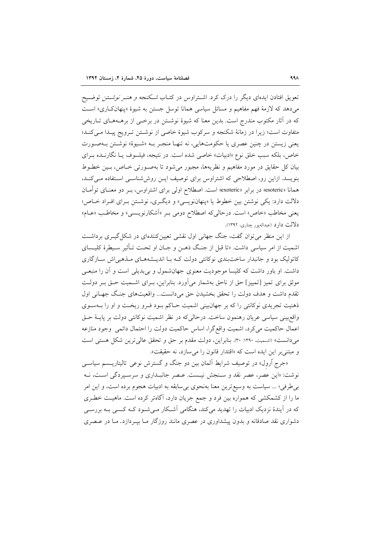تعویق افتادن ایدهای دیگر را درک کرد. اشتراوس در کتـاب *شـکنجه و هنـر نوشـتن* توضـیح می دهد که لازمهٔ فهم مفاهیم و مسائل سیاسی همانا توسل جستن به شیوهٔ «پنهانکاری» است که در آثار مکتوب مندرج است. بدین معنا که شیوهٔ نوشـتن در برخـی از برهــههـای تــاریخی متفاوت است؛ زیرا در زمانهٔ شکنجه و سرکوب شیوهٔ خاصی از نوشـتن تـرویج پیـدا مـیکنـد؛ يعني زيستن در چنين عصري يا حكومتهايي، نه تنهـا منجـر بـه «شـيوهٔ» نوشـتن بـهصـورت خاص، بلكه سبب خلق نوع «ادبيات» خاصي شده است. در نتيجه، فيلسوف يـا نگارنـده بـراي بيان كل حقايق در مورد مفاهيم و نظريهها، مجبور مي شود تا بهصورتي خـاص، بـين خطـوط بنویسد. ازاین رو، اصطلاحی که اشتراوس برای توصیف ایـن روششناسـی اسـتفاده مـیکنـد، همانا «esoteric» در برابر «exoteric» است. اصطلاح اولی برای اشتراوس، بــر دو معنــای توأمــان دلالت دارد: یکی نوشتن بین خطوط یا «پنهاننویسی» و دیگری، نوشتن بـرای افـراد خـاص؛ یعنی مخاطب «خاص» است. درحالی که اصطلاح دومی بـر «اَشکارنویـسی» و مخاطـب «عـام» دلالت دارد (عبدالهپور چناری، ۱۳۹۲).

از این منظر می توان گفت، جنگ جهانی اول نقشی تعیین کنندهای در شکل گیـری برداشـت اشمیت از امر سیاسی داشت. «تا قبل از جنگ ذهـن و جـان او تحـت تـأثیر سـیطرهٔ کلیـسای کاتولیک بود و جانبدار ساختبندی نوکانتی دولت کـه بـا اندیـشههـای مـذهبی|ش سـازگاری داشت. او باور داشت که کلیسا موجودیت معنوی جهانشمول و بی بدیلی است و آن را منبعـی موثق برای تمیز [تمییز] حق از ناحق بهشمار میآورد. بنابراین، بـرای اشـمیت حـق بـر دولـت تقدم داشت و هدف دولت را تحقق بخشیدن حق میدانست... واقعیتهای جنگ جهـانی اول ذهنیت تجریدی نوکانتی را که بر جهانبینی اشمیت حـاکم بـود فـرو ریخـت و او را بـهسـوی واقع بینی سیاسی عریان رهنمون ساخت. درحالی که در نظر اشمیت نوکانتی دولت بر پایـهٔ حـق اعمال حاکمیت میکرد، اشمیت واقع گرا، اساس حاکمیت دولت را احتمال دائمی وجود منازعه مي دانست» (اشميت، ١٣٩٠: ٣٠). بنابراين، دولت مقدم بر حق و تحقق عالى ترين شكل هستى است و مبتنی بر این ایده است که «اقتدار قانون را می سازد، نه حقیقت».

«جرج اُرول» در توصيف شرايط آلمان بين دو جنگ و گسترش نوعي تاليتاريــسم سياســي .<br>نوشت: «این عصر، عصر نقد و سـنجش نیـست. عـصر جانبـداری و سرسـیردگی اسـت، نــه بی طرفی؛ … سیاست به وسیع ترین معنا بهنحوی بی سابقه به ادبیات هجوم برده است، و این امر ما را از کشمکشی که همواره بین فرد و جمع جریان دارد، آگاهتر کرده است. ماهیـت خطـری که در اَیندهٔ نزدیک ادبیات را تهدید میکند، هنگامی اَشکار مـیشـود کـه کـسی بـه بررسـی دشواری نقد صادقانه و بدون پیشداوری در عصری مانند روزگار مـا بیـردازد. مـا در عـصری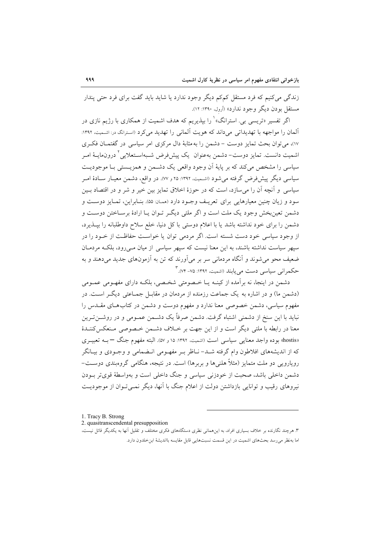زندگی می کنیم که فرد مستقل کمکم دیگر وجود ندارد یا شاید باید گفت برای فرد حتی پندار مستقل بودن دیگر وجود ندارد» (اُرول. ۱۳۹۰: ۱۲).

اگر تفسیر «تریسی بی. استرانگ» ٰ را بیذیریم که هدف اشمیت از همکاری با رژیم نازی در آلمان را مواجهه با تهدیداتی میداند که هویت آلمانی را تهدید می کرد (استرانگ در: اشمیت، ۱۳۹۲: ١٧)، مي توان بحث تمايز دوست – دشمن را به مثابهٔ دال مركزي امر سياسي در گفتمــان فكــرى اشميت دانست. تمايز دوست– دشمن بهعنوان يک پيشفر ض شـبهاسـتعلايي ` درون.مايــهٔ امـر سیاسی را مشخص می کند که بر پایهٔ آن وجود واقعی یک دشـمن و همزیـستی بـا موجودیـت سیاسی دیگر پیشفرض گرفته می شود (اشـمیت، ۱۳۹۲: ۲۵ و ۷۷). در واقع، دشمن معیـار سـادهٔ امـر سیاسی و آنچه آن را می سازد، است که در حوزهٔ اخلاق تمایز بین خیر و شر و در اقتصاد بـین سود و زيان چنين معيارهايي براي تعريـف وجـود دارد (ممـان: ۵۵). بنـابراين، تمـايز دوسـت و دشمن تعین بخش وجود یک ملت است و اگر ملتی دیگـر تـوان یـا ارادهٔ برسـاختن دوسـت و دشمن را برای خود نداشته باشد یا با اعلام دوستی با کل دنیا، خلع سلاح داوطلبانه را بیـذیرد، از وجود سیاسی خود دست شسته است. اگر مردمی توان یا خواست حفاظت از خـود را در سپهر سیاست نداشته باشند، به این معنا نیست که سپهر سیاسی از میان مـیرود، بلکـه مردمـان ضعیف محو می شوند و آنگاه مردمانی سر بر میآورند که تن به آزمونهای جدید می دهند و به حکم انی سیاسی دست می بایند (اشمیت، ۱۳۹۲: ۷۵– ۷۴).

دشمن در اینجا، نه برآمده از کینـه یـا خـصومتی شخـصی، بلکـه دارای مفهـومی عمـومی (دشمن ما) و در اشاره به یک جماعت رزمنده از مردمان در مقابـل جمــاعتی دیگــر اســت. در مفهوم سیاسی، دشمن خصوصی معنا ندارد و مفهوم دوست و دشمن در کتابهای مقـدس را نباید با این سنخ از دشمنی اشتباه گرفت. دشمن صرفاً یک دشـمن عمـومی و در روشــنتـرین معنا در رابطه با ملتي ديگر است و از اين جهت بر خــلاف دشــمن خــصوصى مـنعكس2ننــدهٔ «hostis» بوده واجد معنایی سیاسی است (اشمیت، ۱۳۹۲: ۱۵ و ۵۷). البته مفهوم جنگ – بــه تعبیــری که از اندیشههای افلاطون وام گرفته شـد– نـاظر بـر مفهـومی انـضمامی و وجـودی و بیـانگر رویارویی دو ملت متمایز (مثلاً هلنی ها و بربرها) است. در نتیجه، هنگامی گروهبندی دوسـت– دشمن داخلی باشد، صحبت از خودزنی سیاسی و جنگ داخلی است و بهواسطهٔ قوی تر بـودن نیروهای رقیب و توانایی بازداشتن دولت از اعلام جنگ با آنها، دیگر نمبی تـوان از موجودیـت

<sup>1.</sup> Tracy B. Strong

<sup>2.</sup> quasitranscendental presupposition

۳. هرچند نگارنده بر خلاف بسیاری افراد، به اینهمانی نظری دستگاههای فکری مختلف و تقلیل آنها به یکدیگر قائل نیست، اما بهنظر میرسد بحثهای اشمیت در این قسمت نسبتهایی قابل مقایسه بااندیشهٔ ابن خلدون دارد.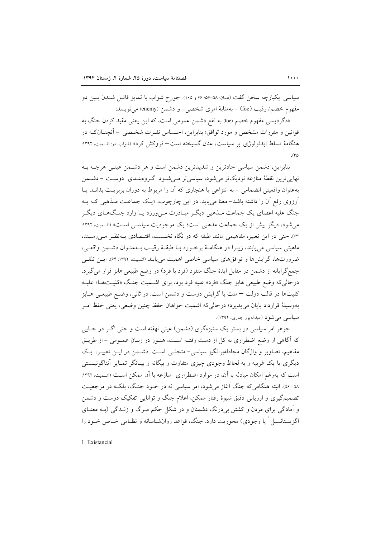سیاسی یکپارچه سخن گفت (همان: ۵۸-۵۶ ۶۶ و ۱۰۵). جورج شواب با تمایز قائـل شــدن بــین دو مفهوم خصم/ رقيب (foe) – بهمثابهٔ امري شخصي- و دشمن (enemy) مي نويسد:

«دگردیسی مفهوم خصم (foe) به نفع دشمن عمومی است، که این یعنی مقید کردن جنگ به قوانین و مقررات مشخص و مورد توافق؛ بنابراین، احـساس نفـرت شخـصی – آنچنــانکـه در هنگامهٔ تسلط ایدئولوژی بر سیاست، عنان گسیخته است—فروکش کرد» (شواب، در: اشـمیت، ۱۳۹۲:  $(\Upsilon)$ 

بنابراین، دشمن سیاسی حادترین و شدیدترین دشمن است و هر دشـمن عینـی هرچــه بـه نهايي ترين نقطهٔ منازعه نزديک تر مي شود، سياسي تر مـي شـود. گـروهبنــدي دوسـت – دشــمن بهعنوان واقعیتی انضمامی – نه انتزاعی یا هنجاری که آن را مربوط به دوران بربریت بدانــد یــا آرزوی رفع آن را داشته باشد- معنا می یابد. در این چارچوب، «یـک جماعـت مـذهبی کـه بـه جنگ علیه اعضای یک جماعت مـذهبی دیگـر مبـادرت مـی ورزد یـا وارد جنـگ۱مـای دیگـر میشود، دیگر بیش از یک جماعت مذهبی است؛ یک موجودیت سیاسـی اسـت» (اشـمیت، ۱۳۹۲: ۶۳). حتی در این تعبیر، مفاهیمی مانند طبقه که در نگاه نخـست، اقتـصادی بــهنظـر مــی(ســند، ماهيتي سياسي مي يابند، زيـرا در هنگامـهٔ برخـورد بـا طبقـهٔ رقيـب بـهعنـوان دشـمن واقعـي، ضرورتها، گرایشها و توافقهای سیاسی خاصی اهمیت می یابند (اشمیت، ۱۳۹۲: ۶۴). ایــن تلقــی جمع گرایانه از دشمن در مقابل ایدهٔ جنگ منفرد (فرد با فرد) در وضع طبیعی هابز قرار می گیرد. درحالی که وضع طبیعی هابز جنگ «فرد» علیه فرد بود، برای اشـمیت جنـگ «کلیـتهـا» علیـه کلیتها در قالب دولت –ملت با گرایش دوست و دشمن است. در ثانی، وضع طبیعـی هــابز بهوسيلة قرارداد پايان مى پذيرد؛ درحالىكه اشميت خواهان حفظ چنين وضعى، يعنى حفظ امـر سیاسی می شود (عبدالهپور چناری، ۱۳۹۲).

جوهر امر سیاسی در بستر یک ستیزهگری (دشمن) عینی نهفته است و حتی اگـر در جـایی كه آگاهي از وضع اضطراري به كل از دست رفتـه اسـت، هنـوز در زبـان عمـومي - از طريـق مفاهیم، تصاویر و واژگان مجادلهبرانگیز سیاسی-متجلبی است. دشمن در ایـن تعبیـر، یـک دیگری یا یک غریبه و به لحاظ وجودی چیزی متفاوت و بیگانه و بیـانگر تمـایز آنتاگونیــستی است که بهرغم امکان مبادله با آن، در موارد اضطراری ِ منازعه با آن ممکن اسـت (شـمیت، ۱۳۹۲: ۵۸- ۵۶). البته هنگامی که جنگ آغاز می شود، امر سیاسی نه در خــود جنــگ، بلکــه در مرجعیــت تصمیم گیری و ارزیابی دقیق شیوهٔ رفتار ممکن، اعلام جنگ و توانایی تفکیک دوست و دشمن و آمادگی برای مردن و کشتن بی درنگ دشمنان و در شکل حکم مـرگ و زنــدگی (بــه معنــای اگزیستانسیل ٔ یا وجودی) محوریت دارد. جنگ، قواعد روانشناسانه و نظـامی خـاص خـود را

1. Existancial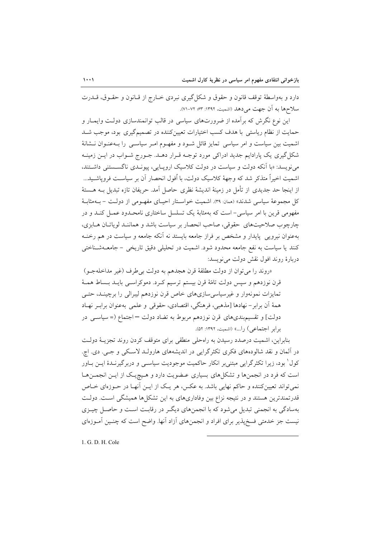دارد و بهواسطهٔ توقف قانون و حقوق و شکل گیری نبردی خـارج از قـانون و حقـوق، قــدرت سلاحها به آن جهت مي دهد (اشميت، ١٣٩٢: ۶٣: ٧٢-٧١).

این نوع نگرش که برآمده از ضرورتهای سیاسی در قالب توانمندسازی دولت وایمـار و حمایت از نظام ریاستی با هدف کسب اختیارات تعیین کننده در تصمیمگیری بود، موجب شـد اشمیت بین سیاست و امر سیاسی تمایز قائل شـود و مفهـوم امـر سیاسـی را بـهعنـوان نـشانهٔ شکل گیری یک پارادایم جدید ادراکی مورد توجـه قـرار دهـد. جـورج شـواب در ایـن زمینـه می نویسد: «با آنکه دولت و سیاست در دولت کلاسیک اروپایی، پیونـدی ناگسـستنی داشـتند، اشميت اخيراً متذكر شد كه وجههٔ كلاسيک دولت، با اُفول انحصار آن بر سياسـت فروياشـيد... از اینجا حد جدیدی از تأمل در زمینهٔ اندیشهٔ نظری حاصل آمد. حریفان تازه تبدیل بــه هــستهٔ كل مجموعهٔ سياسي شدند» (همان: ٣٩). اشميت خواسـتار احيـاي مفهـومي از دولـت – بــهمثابـهٔ مفهومی قرین با امر سیاسی-است که بهمثابهٔ یک تسلسل ساختاری نامحـدود عمـل کنـد و در چارچوب صلاحیتهای حقوقی، صاحب انحصار بر سیاست باشد و هماننـد لویاتـان هـابزی، بهعنوان نیرویی پایدار و مشخص بر فراز جامعه بایستد نه آنکه جامعه و سیاست در هم رخنـه كنند يا سياست به نفع جامعه محدود شود. اشميت در تحليلي دقيق تاريخي – جامعــهشـناختي دربارهٔ روند افول نقش دولت می نویسد:

«روند را مي توان از دولت مطلقهٔ قرن هجدهم به دولت بي طرف (غير مداخلهجـو) قرن نوزدهم و سپس دولت تامّهٔ قرن بیستم ترسیم کـرد. دموکراسـی بایـد بـساط همـهٔ تمایزات نمونهوار و غیرسیاسیسازیهای خاص قرن نوزدهم لیبرالی را برچینـد، حتـی همهٔ آن برابر – نهادها [مذهبی، فرهنگی، اقتصادی، حقوقی و علمی بهعنوان برابـر نهـاد دولت] و تقسیم بندی های قرن نوزدهم مربوط به تضاد دولت –اجتماع (= سیاسـی در برابر اجتماعی) را...» (اشمیت، ۱۳۹۲: ۵۲).

بنابراین، اشمیت درصدد رسیدن به راهحلی منطقی برای متوقف کردن روند تجزیـهٔ دولـت در آلمان و نقد شالودههای فکری تکثرگرایی در اندیشههای هارول1 لاسکی و جـی. دی. اچ. کول ٰ بود، زیرا تکثرگرایی مبتنی بر انکار حاکمیت موجودیت سیاســی و دربرگیرنــدۀ ایــن بــاور است که فرد در انجمنها و تشکلهای بسیاری عـضویت دارد و هـیچیـک از ایـن انجمـنهـا نمی تواند تعیینکننده و حاکم نهایی باشد. به عکس، هر یک از ایــن آنهـا در حــوزهای خــاص قدرتمندترین هستند و در نتیجه نزاع بین وفاداریهای به این تشکلها همیشگی است. دولت بهسادگی به انجمنی تبدیل میشود که با انجمنهای دیگر در رقابت است و حاصل چیـزی نیست جز خدمتی فسخپذیر برای افراد و انجمنهای آزاد آنها. واضح است که چنـین آمـوزهای

1. G. D. H. Cole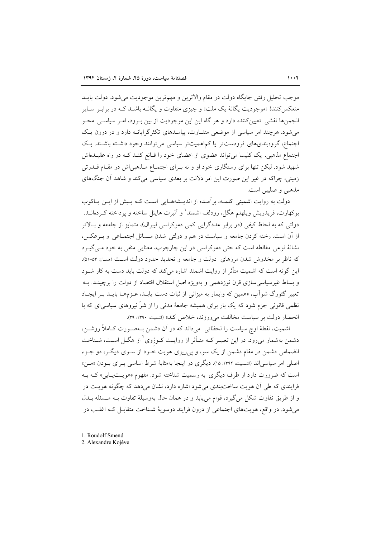موجب تحليل رفتن جايگاه دولت در مقام والاترين و مهمترين موجوديت مي شود. دولت بايــد منعکس کنندهٔ «موجودیت یگانهٔ یک ملت» و چیزی متفاوت و یگانــه باشــد کــه در برابـر ســایر انجمنها نقشی تعیینکننده دارد و هر گاه این این موجودیت از بین بـرود، امـر سیاسـی محـو می شود. هرچند امر سیاسی از موضعی متفـاوت، پیامـدهای تکثر گرایانــه دارد و در درون یـک اجتماع، گروهبندیهای فرودستتر یا کماهمیتتر سیاسی می توانند وجود داشته باشـند. یک اجتماع مذهبی، یک کلیسا میتواند عضوی از اعضای خود را قـانع کنـد کــه در راه عقیــدهاش شهید شود. لیکن تنها برای رستگاری خود او و نه بـرای اجتمـاع مـذهبی اش در مقـام قــدرتی زمینی، چراکه در غیر این صورت این امر دلالت بر بعدی سیاسی می کند و شاهد آن جنگهای مذهبي و صليبي است.

دولت به روایت اشمیتی کلمــه، بر آمــده از اندیــشههــایی اســت کــه پــیش از ایــن پــاکوب بوكهارت، فريدريش ويلهلم هگل، رودلف اشمند' و آلبرت هاينل ساخته و يرداخته كـردهانــد. دولتی که به لحاظ کیفی (در برابر عددگرایی کمی دموکراسی لیبرال)، متمایز از جامعه و بـالاتر از آن است. رخنه کردن جامعه و سیاست در هم و دولتی شدن مـسائل اجتمـاعی و بـرعکس، نشانهٔ نوعی مغالطه است که حتی دموکراسی در این چارچوب، معنایی منفی به خود مـی گیــرد كه ناظر بر مخدوش شدن مرزهاي دولت و جامعه و تحديد حدود دولت است (ممـان: ٥٣-٥١). این گونه است که اشمیت متأثر از روایت اشمند اشاره میکند که دولت باید دست به کار شـود و بساط غیرسیاسی سازی قرن نوزدهمی و بهویژه اصل استقلال اقتصاد از دولت را برچینـد. بـه تعبیر گئورگ شواّب، «همین که وایمار به میزانی از ثبات دست یابـد، عـزمهـا بایــد بــر ایجــاد نظمی قانونی جزم شود که یک بار برای همیشه جامعهٔ مدنی را از شرّ نیروهای سیاسی ای که با انحصار دولت بر سیاست مخالفت می ورزند، خلاص کند» (اشمیت، ۱۳۹۰: ۳۹).

اشمیت، نقطهٔ اوج سیاست را لحظاتی ً میداند که در آن دشمن بـهصـورت کـاملاً روشـن، دشمن بهشمار میرود. در این تعبیـر کــه متــأثر از روایــت کــوژوی ٔ از هگــل اســت، شــناخت انضمامی دشمن در مقام دشمن از یک سو، و پیریزی هویت خـود از سـوی دیگـر، دو جـزء اصلی امر سیاسی اند (اشمیت، ۱۳۹۲: ۱۵). دیگری در اینجا بهمثابهٔ شرط اساسی بـرای بـودن «مـن» است که ضرورت دارد از طرف دیگری به رسمیت شناخته شود. مفهوم «هویـتیبایی» کـه بـه فرایندی که طی آن هویت ساختبندی می شود اشاره دارد، نشان می دهد که چگونه هویت در و از طريق تفاوت شكل مي گيرد، قوام مي يابد و در همان حال بهوسيلهٔ تفاوت بـه مـسئله بــدل می شود. در واقع، هویتهای اجتماعی از درون فرایند دوسویهٔ شـناخت متقابـل کـه اغلـب در

- 1. Roudolf Smend
- 2. Alexandre Kojève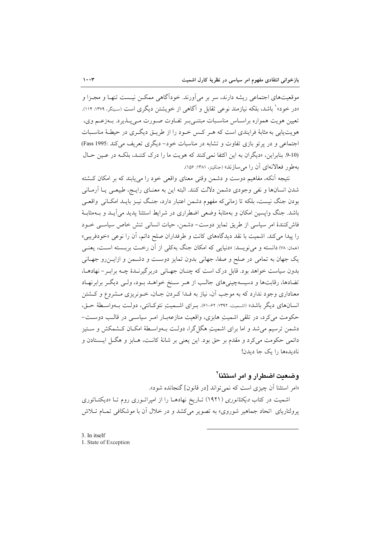موقعیتهای اجتماعی ریشه دارند، سر بر می آورند. خودآگاهی ممکــن نیــست تنهــا و مجــزا و «در خود»<sup>(</sup> باشد، بلکه نیازمند نوعی تقابل و آگاهی از خویشتن دیگری است (سینگر، ۱۳۷۹: ۱۱۴). تعیین هویت همواره براسـاس مناسـبات مبتنـی.بـر تفـاوت صـورت مـی پــذیرد. بــهزعــم وی، هویت پایی به مثابهٔ فرایندی است که هـر کـس خـود را از طریـق دیگـری در حیطـهٔ مناسـبات اجتماعی و در پرتو بازی تفاوت و تشابه در مناسبات خود- دیگری تعریف می کند :Fass 1995) (9-10. بنابراین، «دیگران به این اکتفا نمی کنند که هویت ما را درک کننـد، بلکـه در عـین حـال بهطور فعالانهای آن را می سازند» (جنکینز، ۱۳۸۱: ۱۵۶).

نتيجه آنكه، مفاهيم دوست و دشمن وقتي معناي واقعي خود را مي يابند كه بر امكان كــشته شدن انسانها و نفي وجودي دشمن دلالت كنند. البته اين به معنـاي رايــج، طبيعـي يــا آرمــاني بودن جنگ نیست، بلکه تا زمانی که مفهوم دشمن اعتبار دارد، جنگ نیــز بایــد امکــانی واقعــی باشد. جنگ وایسین امکان و بهمثابهٔ وضعی اضطراری در شرایط استثنا پدید می آیـد و بــهمثابــهٔ فاش كنندهٔ امر سیاسی از طریق تمایز دوست- دشمن، حیات انسانی تنش خاص سیاسی خـود را پیدا می کند. اشمیت با نقد دیدگاههای کانت و طرفداران صلح دائم، آن را نوعی «خودفریبی» (همان: ٧٨) دانسته و مي نويسد: «دنيايي كه امكان جنگ بهكلي از آن رخت بربسته است، يعني یک جهان به تمامی در صلح و صفا، جهانی بدون تمایز دوست و دشـمن و ازایـنررو جهـانی بدون سیاست خواهد بود. قابل درک است که چنـان جهـانی دربرگیرنـدهٔ چــه برابـر – نهادهـا، تضادها، رقابتها و دسیسهچینیهای جالب از هـر سـنخ خواهـد بـود، ولـی دیگـر برابرنهـاد معناداری وجود ندارد که به موجب آن، نیاز به ف1ا کـردن جـان، خــونریزی مــشروع و کــشتن انسانهای دیگر باشد» (اشمیت، ۱۳۹۲: ۶۲-۶۱). به ای اشـمیت نئوکـانتی، دولـت بـهواسـطهٔ حـق، حکومت می کرد، در تلقی اشمیتِ هابزی، واقعیت منازعهبار امـر سیاسـی در قالـب دوسـت-دشمن ترسیم می شد و اما برای اشمیتِ هگل گرا، دولـت بـهواسـطهٔ امکـان کـشمکش و سـتیز دائمی حکومت میکرد و مقدم بر حق بود. این یعنی بر شانهٔ کانـت، هــابز و هگــل ایــستادن و نادیدهها را یک جا دیدن!

# وضعت اضطرار و امر استثنا ً

«امر استثنا أن چيزي است كه نمي تواند [در قانون] گنجانده شود».

اشمیت در کتاب *دیکتاتوری (*۱۹۲۱) تـاریخ نهادهـا را از امپراتـوری روم تـا «دیکتـاتوری یرولتاریای اتحاد جماهیر شوروی» به تصویر میکشد و در خلال آن با موشکافی تمـام تـلاش

<sup>3.</sup> In itself 1. State of Exception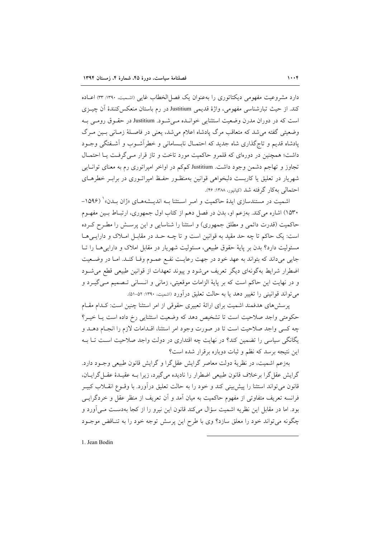دارد مشروعیت مفهومی دیکتاتوری را بهعنوان یک فصل الخطاب غایی (اشمیت، ۱۳۹۰: ۳۳) اعباده كند. از حيث تبارشناسي مفهومي، واژهٔ قديمي Justitium در رم باستان منعكس كنندهٔ آن چيــزي است که در دوران مدرن وضعیت استثنایی خوانـده مـیشـود. Justitium در حقـوق رومـی بـه وضعیتی گفته می شد که متعاقب مرگ یادشاه اعلام می شد، یعنی در فاصلهٔ زمـانی بـین مـرگ یادشاه قدیم و تاج گذاری شاه جدید که احتمـال نابـسامانی و خطر اَشــوب و اَشــفتگی وجــود داشت؛ همچنین در دورهای که قلمرو حاکمیت مورد تاخت و تاز قرار مـیگرفـت یـا احتمـال تجاوز و تهاجم دشمن وجود داشت. Justitium کمکم در اواخر امیراتوری رم به معنای توانایی شهریار در تعلیق یا کاربست دلبخواهی قوانین بهمنظـور حفـظ امپراتـوری در برابـر خطرهـای احتمالی بهکار گرفته شد (کیانیور، ۱۳۸۸: ۴۶).

اشمیت در مستندسازی ایدهٔ حاکمیت و امـر اسـتثنا بــه اندیــشههــای «ژان بــدن»<sup>۱</sup> (۱۵۹۶– ۱۵۳۰) اشاره می کند. بهزعم او، بدن در فصل دهم از کتاب اول جمهوری، ارتبـاط بـین مفهـوم حاکمیت (قدرت دائمی و مطلق جمهوری) و استثنا را شناسایی و این پرسش را مطـرح کـرده است: یک حاکم تا چه حد مقید به قوانین است و تا چـه حـد در مقابـل امـلاک و دارایـی هـا مسئولیت دارد؟ بدن بر پایهٔ حقوق طبیعی، مسئولیت شهریار در مقابل املاک و دارایی هـا را تـا جایی میداند که بتواند به عهد خود در جهت رعایت نفع عمـوم وفـا کنـد. امـا در وضـعیت اضطرار شرایط بهگونهای دیگر تعریف می شود و پیوند تعهدات از قوانین طبیعی قطع می شـود و در نهایت این حاکم است که بر پایهٔ الزامات موقعیتی، زمانی و انـسانی تـصمیم مـیگیـرد و می تواند قوانینی را تغییر دهد یا به حالت تعلیق درآورد (اشمیت، ۱۳۹۰: ۵۲-۵۱).

پرسشهای هدفمند اشمیت برای ارائهٔ تعبیری حقوقی از امر استثنا چنین است: کدام مقام حکومتی واجد صلاحیت است تا تشخیص دهد که وضعیت استثنایی رخ داده است یـا خیـر؟ چه کسی واجد صلاحیت است تا در صورت وجود امر استثنا، اقـدامات لازم را انجـام دهـد و یگانگی سیاسی را تضمین کند؟ در نهایت چه اقتداری در دولت واجد صلاحیت است تـا بـه این نتیجه برسد که نظم و ثبات دوباره برقرار شده است؟

بهزعم اشميت، در نظريهٔ دولت معاصر گرايش عقلٍگرا و گرايش قانون طبيعي وجــود دارد. گرایش عقل گرا برخلاف قانون طبیعی اضطرار را نادیده می گیرد، زیرا بـه عقیـدۀ عقـل گرایـان، قانون مي تواند استثنا را پيش بيني كند و خود را به حالت تعليق درآورد. با وقــوع انقــلاب كبيــر فرانسه تعریف متفاوتی از مفهوم حاکمیت به میان آمد و آن تعریف از منظر عقل و خردگرایسی بود. اما در مقابل این نظریه اشمیت سؤال میکند قانون این نیرو را از کجا بهدست مـی آورد و چگونه میتواند خود را معلق سازد؟ وی با طرح این پرسش توجه خود را به تنـاقض موجــود

1. Jean Bodin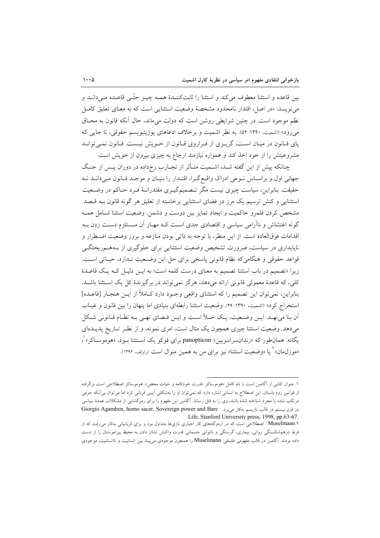بین قاعده و استثنا معطوف می کند و استثنا را ثابتکننـدهٔ همـه چیـز حتّـی قاعـده مـی دانـد و می نویسد: «در اصل، اقتدار نامحدود مشخصهٔ وضعیت استثنایی است که به معنای تعلیق کامـل نظم موجود است. در چنین شرایطی روشن است که دولت می ماند، حال آنکه قانون به محــاق می رود» (اشمیت، ۱۳۹۰: ۵۴). به نظر اشمیت و برخلاف ادعاهای پوزیتیویسم حقوقی، تا جایی که یای قبانون در میبان است، گریبزی از فبراروی قبانون از خبویش نیست. قبانون نمبی توانید مشروعیتش را از خود اخذ کند و همواره نیازمند ارجاع به چیزی بیرون از خویش است.

چنانکه پیش از این گفته شـد، اشـمیت متـأثر از تجـارب رخداده در دوران پـس از جنـگ جهانی اول و براسـاس نـوعی ادراک واقـع گـرا، اقتـدار را بنيـان و موجـد قـانون مـی دانـد نـه حقیقت. بنابراین، سیاست چیزی نیست مگر تـصمیمگیـری مقتدرانـهٔ فـرد حـاکم در وضـعیت استثنایی و کنش ترسیم یک مرز در فضای استثنایی برخاسته از تعلیق هر گونه قانون بـه قـصد مشخص کردن قلمرو حاکمیت و ایجاد تمایز بین دوست و دشمن. وضعیت استثنا شـامل همـه گونه اغتشاش و ناآرامی سیاسی و اقتصادی جدی است کـه مهـار آن مـستلزم دسـت زدن بـه اقدامات فوقالعاده است. از این منظر، با توجه به ذاتی بودن منازعه و بروز وضعیت اضـطرار و ناپایداری در سیاست، ضرورت تشخیص وضعیت استثنایی برای جلوگیری از بـههـمریختگـی قواعد حقوقی و هنگامیکه نظام قانونی پاسخی برای حل این وضعیت نـدارد، حیـاتی اسـت. زیرا «تصمیم در باب استثنا تصمیم به معنای درست کلمه است؛ به ایــن دلیــل کــه یــک قاعــدهٔ کلی، که قاعدهٔ معمولی قانونی ارائه میدهد، هرگز نمی تواند در برگیرندهٔ کل یک استثنا باشـد. بنابراین، نمیتوان این تصمیم را که استثنای واقعی وجـود دارد کــاملاً از ایــن هنجـار [قاعــده] استخراج کرد» (اشمیت، ۱۳۹۰: ۲۹). وضعیت استثنا رابطهای بنیادی اما پنهان را بین قانون و غیباب اّن بنا مي نهـد. ايــن وضـعيت، يـك خــلأ اسـت و ايــن فــضاي تهــي بــه نظـام قــانوني شـكل میدهد. وضعیت استثنا چیزی همچون یک مثال است، امری نمونه، و از نظـر تـاریخ پدیــدهای یگانه. همانطور که «زندانسراسربین» panopticon برای فوکو یک اسـتثنا بـود، «هوموســاکر» ْ، «مو زل0مان» ٌ یا «وضعیت استثنا» نیز برای من به همین منوال است (راولف، ۱۳۹۲).

۱. عنوان کتابی از آگامبن است با نام کامل «هوموساکر: قدرت خودکامه و حیات محض». هوموساکر اصطلاحی است برگرفته از قوانین روم باستان. این اصطلاح به انسانی اشاره دارد که نمی توان او را بهشکلی آیینی قربانی کرد اما می توان بی آنکه جرمی مرتکب شده یا مجرم شناخته شده باشد، وی را به قتل رساند. آگامبن این مفهوم را برای رمزگشایی از مشکلات عمدهٔ سیاسی در قرن بیستم در قالب نازیسم بهکار می برد. Giorgio Agamben, homo sacer, Sovereign power and Bare Life, Stanford University press, 1998, pp.63-67.

Muselmann.۲ : اصطلاحی است که در اردوگاههای کار اجباری نازیها متداول بود و برای قربانیانی بهکار میرفت که از فرط درهم شکستگی روانی، بیماری، گرسنگی و ناتوانی جسمانی قدرت واکنش نشان دادن به محیط پیرامونشان را از دست داده بودند. آگامبن در قالب مفهومی فلسفی Muselmann را همچون موجودی می بیند بین انسانیت و ناانسانیت، موجودی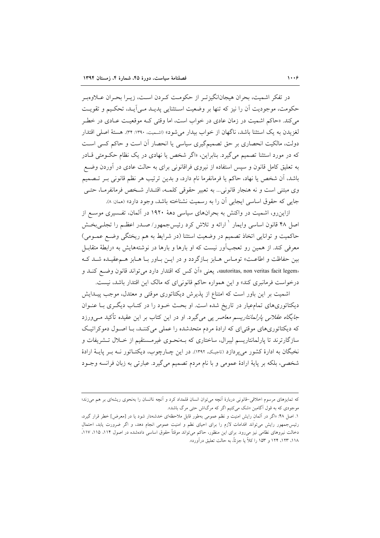در تفکر اشمیت، بحران هیجانانگیزتـر از حکومـت کـردن اسـت، زیـرا بحـران عــلاوهبـر حکومت، موجودیت اَن را نیز که تنها بر وضعیت استثنایی پدیـد مـی]یـد، تحکـیم و تقویـت می کند. «حاکم اشمیت در زمان عادی در خواب است، اما وقتی کـه موقعیـت عـادی در خطـر لغزيدن به يک استثنا باشد، ناگهان از خواب بيدار مي شود» (اشـميت، ١٣٩٠: ٣٣:). هستهٔ اصلي اقتدار دولت، مالکیت انحصاری بر حق تصمیمگیری سیاسی یا انحصار آن است و حاکم کسی است که در مورد استثنا تصمیم میگیرد. بنابراین، «اگر شخص یا نهادی در یک نظام حکـومتبی قـادر به تعلیق کامل قانون و سپس استفاده از نیروی فراقانونی برای به حالت عادی در آوردن وضع باشد، آن شخص یا نهاد، حاکم یا فرمانفرما نام دارد، و بدین ترتیب هر نظم قانونی بـر تـصمیم وی مبتنی است و نه هنجار قانونی... به تعبیر حقوقی کلمـه، اقتـدار شـخص فرمانفرمـا، حتـی جایی که حقوق اساسی ایجابی آن را به رسمیت نشناخته باشد، وجود دارد» (ممان ۸).

ازاینرو، اشمیت در واکنش به بحرانهای سیاسی دههٔ ۱۹۲۰ در آلمان، تفسیری موسع از اصل ۴۸ قانون اساسی وایمار <sup>۱</sup> ارائه و تلاش کرد رئیسجمهور/صـدر اعظـم را تجلــیبخـش حاكميت و توانايي اتخاذ تصميم در وضعيت استثنا (در شرايط به هم ريختگي وضع عمـومي) معرفی کند. از همین رو تعجبآور نیست که او بارها و بارها در نوشتههایش به «رابطهٔ متقابـل بین حفاظت و اطاعـت» تومـاس هـابز بـازگردد و در ایـن بـاور بـا هـابز هـم،عقیـده شـد کـه «autoritas, non veritas facit legem»، يعني «أن كس كه اقتدار دارد مي تواند قانون وضع كنـد و درخواست فرمانبری کند» و این همواره حاکم قانونیای که مالک این اقتدار باشد، نیست.

اشمیت بر این باور است که امتناع از پذیرش دیکتاتوری موقتی و معتدل، موجب پیـدایش دیکتاتوریهای تمامعیار در تاریخ شده است. او بحث خـود را در کتـاب دیگـری بـا عنـوان *جایگاه عقلانی پارلمانتاریسم معاص*ر پی میگیرد. او در این کتاب بر این عقیده تأکید مـیورزد که دیکتاتوریهای موقتیای که ارادهٔ مردم متحدشده را عملی میکننـد، بـا اصـول دموکراتیـک سازگارترند تا پارلمانتاریسم لیبرال، ساختاری که بـهنحـوی غیرمـستقیم از خـلال تـشریفات و نخبگان به ادارهٔ کشور میپردازد (تاجیک، ۱۳۹۲). در این چـارچوب، دیکتـاتور نـه بـر پایـهٔ ارادهٔ شخصي، بلكه بر پايهٔ ارادهٔ عمومي و با نام مردم تصميم ميگيرد. عبارتي به زبان فرانسه وجـود

که تمایزهای مرسوم اخلاقی-قانونی دربارهٔ اّنچه میتوان انسان قلمداد کرد و اَنچه ناانسان را بهنحوی ریشهای بر هم میزند؛ موجودی که به قول آگامبن «شک میکنیم اگر که مرگاش حتی مرگ باشد».

۱. اصل ۴۸: «اگر در آلمان رایش امنیت و نظم عمومی بهطور قابل ملاحظهای خدشهدار شود یا در [معرض] خطر قرار گیرد، رئیسجمهور رایش می تواند اقدامات لازم را برای احیای نظم و امنیت عمومی انجام دهد، و اگر ضرورت یابد، احتمال دخالت نیروهای نظامی نیز میرود. برای این منظور، حاکم می تواند موقتاً حقوق اساسی دادهشده در اصول ۱۱۴، ۱۱۵، ۱۱۷، ۱۱۸، ۱۲۳، ۱۲۴ و ۱۵۳ را کلاً یا جزئاً، به حالت تعلیق درآورد».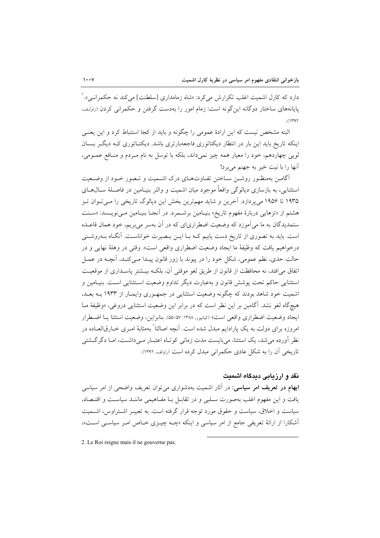دارد که کارل اشمیت اغلب تکرارش میکرد: «شاه زمامداری [سلطنت] میکند نه حکمرانــی». ٰ پایانههای ساختار دوگانه این گونه است: زمام امور را بهدست گرفتن و حکمرانی کردن (راولف،  $(1197)$ 

البته مشخص نیست که این ارادهٔ عمومی را چگونه و باید از کجا استنباط کرد و این یعنبی اینکه تاریخ باید این بار در انتظار دیکتاتوری فاجعهبارتری باشد. دیکتـاتوری کـه دیگـر بـسان لويي چهاردهم، خود را معيار همه چيز نميداند، بلكه با توسل به نام مـردم و منـافع عمـومي، أنها را با نيت خير به جهنم ميبرد!

آگامبن بهمنظـور روشـن سـاختن تفـاوتـهـای درک اشـمیت و تـصور خـود از وضـعیت استثنایی، به بازسازی دیالوگی واقعاً موجود میان اشمیت و والتر بنیـامین در فاصـلهٔ سـال۵هـای ۱۹۳۵ تا ۱۹۵۶ می پردازد. آخرین و شاید مهمترین بخش این دیالوگ تاریخی را مـیتـوان تـز هشتم از «تزهایی دربارهٔ مفهوم تاریخ» بنیـامین برشـمرد. در آنجـا بنیـامین مـی نویـسد: «سـنت ستمدیدگان به ما میآموزد که وضعیت اضطراریای که در آن بهسر میبریم، خود همان قاعـده است. باید به تصوری از تاریخ دست پابیم کـه بـا ایـن بـصیرت خواناسـت. آنگـاه بـهروشـنی درخواهیم یافت که وظیفهٔ ما ایجاد وضعیت اضطراری واقعی است». وقتی در وهلهٔ نهایی و در حالت حدی، نظم عمومی، شکل خود را در پیوند با زور قانون پیـدا مـیکنـد، آنچـه در عمـل اتفاق مي|فتد، نه محافظت از قانون از طريق لغو موقتي آن، بلكـه بيــشتر ياســداري از موقعيـت استثنایی حاکم تحت پوشش قانون و بهعبارت دیگر تداوم وضعیت استثنایی است. بنیـامین و اشمیت خود شاهد بودند که چگونه وضعیت استثنایی در جمهـوری وایمـار از ۱۹۳۳ بــه بعــد، هیچگاه لغو نشد. آگامبن بر این نظر است که در برابر این وضعیت استثنایی دروغی، «وظیفهٔ مــا ايجاد وضعيت اضطراري واقعي است» (كيانپور، ١٣٨٨: ٥٧-٥۵). بنابراين، وضعيت استثنا يـا اضـطرار امروزه برای دولت به یک پارادایم مبدل شده است. آنچه اصالتا ً بهمثابهٔ امـری خــارق|لعــاده در نظر آورده می شد، یک استثنا، میبایست مدت زمانی کوتـاه اعتبـار مـیداشـت، امـا دگرگـشتی تاریخی آن را به شکل عادی حکمرانی مبدل کرده است (راولف، ۱۳۹۲).

### نقد و ارزیابی دیدگاه اشمیت

**ابهام در تعریف امر سیاسی**: در آثار اشمیت بهدشواری میتوان تعریف واضحی از امر سیاسی یافت و این مفهوم اغلب بهصورت سـلبی و در تقابـل بـا مفـاهیمی ماننـد سیاسـت و اقتـصاد، سیاست و اخلاق، سیاست و حقوق مورد توجه قرار گرفته است. به تعبیـر اشـتراوس، اشـمیت آشکارا از ارائهٔ تعریفی جامع از امر سیاسی و اینکه «چـه چیـزی خـاص امـر سیاسـی اسـت»،

2. Le Roi reigne mais il ne gouverne pas.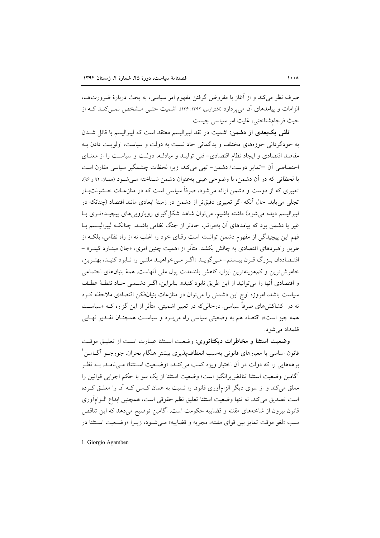صرف نظر می کند و از آغاز با مفروض گرفتن مفهوم امر سیاسی، به بحث دربارهٔ ضرورتها، الزامات و پیامدهای آن می پردازد (اشتراوس، ۱۳۹۲: ۱۳۶). اشمیت حتـبی مـشخص نمـبی کنــد کــه از حيث فرجام شناختي، غايت امر سياسي چيست.

<mark>تلقی یکبعدی از دشمن:</mark> اشمیت در نقد لیبرالیسم معتقد است که لیبرالیسم با قائل شــدن به خودگردانی حوزههای مختلف و بدگمانی حاد نسبت به دولت و سیاست، اولویـت دادن بـه مقاصد اقتصادی و ایجاد نظام اقتصادی- فنی تولیـد و مبادلـه، دولـت و سیاسـت را از معنـای اختصاصی أن –تمایز دوست/ دشمن– تهی می کند، زیرا لحظات چشمگیر سیاسی مقارن است با لحظاتی که در آن دشمن، با وضوحی عینی بهعنوان دشمن شـناخته مـی شـود (ممـان: ۹۲ و ۹۶). تعبیری که از دوست و دشمن ارائه میشود، صرفاً سیاسی است که در منازعـات خــشونتـبـار تجلَّى مي يابد. حال آنكه اگر تعبيري دقيقتر از دشمن در زمينهٔ ابعادي مانند اقتصاد (چنانكه در لیبرالیسم دیده می شود) داشته باشیم، می توان شاهد شکل گیری رویارویی های پیچیـدهتـری بــا غیر یا دشمن بود که پیامدهای آن بهمراتب حادتر از جنگ نظامی باشـد. چنانکـه لیبرالیـسم بـا فهم این پیچیدگی از مفهوم دشمن توانسته است رقبای خود را اغلب نه از راه نظامی، بلک از طریق راهبردهای اقتصادی به چالش بکشد. متأثر از اهمیت چنین امری، «جان مینــارد کینــز» – اقتـصاددان بـزرگ قـرن بيـستم- مـي گويــد «اگـر مـي خواهيــد ملتــي را نــابود كنيــد، بهتـرين، خاموش ترین و کمهزینهترین ابزار، کاهش بلندمدت پول ملی آنهاست. همهٔ بنیانهای اجتماعی و اقتصادي أنها را مي توانيد از اين طريق نابود كنيد». بنابراين، اگـر دشـمني حـاد نقطـهٔ عطـف سیاست باشد، امروزه اوج این دشمنی را می توان در منازعات بنیانفکن اقتصادی ملاحظه کرد نه در کشاکش های صرفاً سیاسی. درحالی که در تعبیر اشمیتی، متأثر از این گزاره کــه «سیاســت همه چیز است»، اقتصاد هم به وضعیتی سیاسی راه می بود و سیاست همچنان تقدیر نهایی قلمداد مي شود.

وضعيت استثنا و مخاطرات ديكتاتوري: وضعيت استثنا عبيارت است از تعليـق موقـت قانون اساسی با معیارهای قانونی بهسبب انعطاف پذیری بیشتر هنگام بحران جورجـو آگــامبن ٰ برهههایی را که دولت در آن اختیار ویژه کسب میکنـد، «وضـعیت اسـتثنا» مـیiامـد. بــه نظـر آگامبن وضعیت استثنا تناقض برانگیز است؛ وضعیت استثنا از یک سو با حکم اجرایی قوانین را معلق می کند و از سوی دیگر الزامآوری قانون را نسبت به همان کسبی کـه آن را معلــق کــرده است تصديق مي كند. نه تنها وضعيت استثنا تعليق نظم حقوقي است، همچنين ابداع الـزامآوري قانون بيرون از شاخههاي مقننه و قضاييه حكومت است. آگامبن توضيح مي دهد كه اين تناقض سبب «لغو موقت تمايز بين قواي مقننه، مجريه و قضاييه» مـي شـود، زيـرا «وضـعيت اسـتثنا در

1. Giorgio Agamben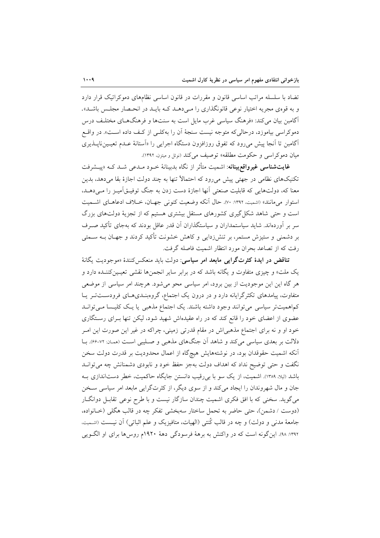تضاد با سلسله مراتب اساسی قانون و مقررات در قانون اساسی نظامهای دموکراتیک قرار دارد و به قوهي مجريه اختيار نوعي قانونگذاري را مـي دهــد کــه بايــد در انحــصار مجلــس باشــد». آگامبن بیان می کند: «فرهنگ سیاسی غرب مایل است به سنتها و فرهنگهـای مختلـف درس دموکراسی بیاموزد، درحالیکه متوجه نیست سنجهٔ آن را بهکلـی از کـف داده اسـت». در واقـع آگامبن تا آنجا پیش میرود که تفوق روزافزون دستگاه اجرایی را «آستانهٔ عــدم تعیــینiایــذیری میان دموکر اسی و حکومت مطلقه» توصیف می کند (نوئل و میتزن، ۱۳۹۲).

**غايتشناسي غيرواقع بينانه**: اشميت متأثر از نگاه بدبينانهٔ خـود مــدع<sub>ي</sub> شــد کــه «پيــشرفت تکنیکهای نظامی در جهتی پیش میرود که احتمالاً تنها به چند دولت اجازهٔ بقا میدهد، بدین معنا که، دولتهایی که قابلیت صنعتی آنها اجازهٔ دست زدن به جنگ توفیـقآمیـز را مـیدهــد، استوار مي مانند» (اشميت، ١٣٩٢: ٧٠). حال أنكه وضعيت كنوني جهـان، خــلاف ادعاهـاي اشــميت است و حتی شاهد شکل گیری کشورهای مستقل بیشتری هستیم که از تجزیهٔ دولتهای بزرگ سر بر آوردهاند. شاید سیاستمداران و سیاستگذاران آن قدر عاقل بودند که بهجای تأکید صـرف بر دشمنی و ستیزش مستمر، بر تنشززدایی و کاهش خشونت تأکید کردند و جهـان بــه ســمتی رفت كه از تصاعد بحران مورد انتظار اشميت فاصله گرفت.

تناقض در ایدهٔ کثرتگرایی مابعد امر سیاسی: دولت باید منعکس کنندهٔ «موجودیت یگانهٔ یک ملت» و چیزی متفاوت و یگانه باشد که در برابر سایر انجمنها نقشی تعیمینکننده دارد و هر گاه این این موجودیت از بین برود، امر سیاسی محو می شود. هرچند امر سیاسی از موضعی متفاوت، پیامدهای تکثرگرایانه دارد و در درون یک اجتماع، گروهبندیهای فرودستتر یا کماهمیتتر سیاسی می توانند وجود داشته باشند. یک اجتماع مذهبی یا یـک کلیـسا مـی توانـد عضوی از اعضای خود را قانع کند که در راه عقیدهاش شهید شود، لیکن تنها بـرای رسـتگاری خود او و نه برای اجتماع مذهبی!ش در مقام قدرتی زمینی، چراکه در غیر این صورت این امـر دلالت بر بعدی سیاسی می کند و شاهد آن جنگهای مذهبی و صلیبی است (همان: ۷۲-۶۶). بــا آنکه اشمیت حقوقدان بود، در نوشتههایش هیچگاه از اعمال محدودیت بر قدرت دولت سخن نگفت و حتی توضیح نداد که اهداف دولت بهجز حفظ خود و نابودی دشمنانش چه می توانـد باشد (لیلا، ۱۳۸۹). اشمیت، از یک سو با بی رقیب دانستن جایگاه حاکمیت، خطر دستاندازی بـه جان و مال شهروندان را ایجاد می کند و از سوی دیگر، از کثرتگرایی مابعد امر سیاسی سـخن می گوید. سخنی که با افق فکری اشمیت چندان سازگار نیست و با طرح نوعی تقابـل دوانگــار (دوست / دشمن)، حتى حاضر به تحمل ساختار سهبخشى تفكر چه در قالب هگلى (خـانواده، جامعهٔ مدنی و دولت) و چه در قالب کُنتی (الهیات، متافیزیک و علم اثباتی) آن نیـست (اشـمیت. ۱۳۹۲: ۹۸). این گونه است که در واکنش به برههٔ فرسودگی دههٔ ۱۹۲۰م روس۵ها برای او الگویی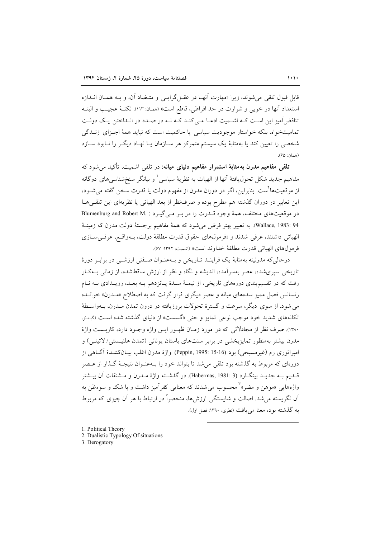قابل قبول تلقى مى شوند، زيرا «مهارت أنهـا در عقـل گرايـى و متـضاد أن، و بـه همـان انــدازه استعداد آنها در خوبي و شرارت در حد افراطي، قاطع است» (همان: ١١٣). نكتـهٔ عجيـب و البتـه تناقض آمیز این است که اشـمیت ادعـا مـی کنـد کـه نـه در صـدد در انـداختن یـک دولـت تمامیتخواه، بلکه خواستار موجودیت سیاسی یا حاکمیت است که نباید همهٔ اجـزای زنـدگی شخصی را تعیین کند یا بهمثابهٔ یک سیستم متمرکز هر سـازمان یـا نهـاد دیگـر را نـابود سـازد (همان: ۶۵).

**تلقی مفاهیم مدرن بهمثابهٔ استمرار مفاهیم دنیای میانه**: در تلقی اشمیت، تأکید می شود که مفاهیم جدید شکل تحول،یافتهٔ آنها از الهیات به نظریهٔ سیاسی ` و بیانگر سنخشناسی های دوگانه از موقعیتها ْست. بنابراین، اگر در دوران مدرن از مفهوم دولت یا قدرت سخن گفته میشــود، اين تعابير در دوران گذشته هم مطرح بوده و صرف نظر از بعد الهياتي يا نظريهاي اين تلقى هـا در موقعیتهای مختلف، همهٔ وجوه قبدرت را در ببر مبی گیبرد ( .Blumenburg and Robert M Wallace, 1983: 94. به تعبير بهتر فرض مي شود كه همهٔ مفاهيم برجستهٔ دولت مدرن كه زمينـهٔ الهياتي داشتند، عرفي شدند و «فرمولهاي حقوق قدرت مطلقهٔ دولت، بــهواقــع، عرفــي ســازي فرمولهاي الهياتي قدرت مطلقة خداوند است» (اشميت، ١٣٩٢: ۶٧).

درحاله كه مدرنيته بهمثابهٔ يک فراينـد تـاريخي و بـهعنـوان صـفتي ارزشــي در برابـر دورهٔ تاریخی سپریشده، عصر بهسرآمده، اندیشه و نگاه و نظر از ارزش ساقطشده، از زمانی بـهکـار رفت که در تقسیم.بندی دورههای تاریخی، از نیمـهٔ سـدهٔ پـانزدهم بــه بعــد، رویــدادی بــه نــام رنسانس فصل ممیز سدههای میانه و عصر دیگری قرار گرفت که به اصطلاح «مـدرن» خوانـده می شود. از سوی دیگر، سرعت و گسترهٔ تحولات بروزیافته در درون تمدن مـدرن، بــهواســطهٔ تکانههای شدید خود موجب نوعی تمایز و حتی «گسست» از دنیای گذشته شده است (<sub>گیدنز</sub>, ۱۳۸۰). صرف نظر از مجادلاتی که در مورد زمـان ظهـور ایـن واژه وجـود دارد، کاربــست واژهٔ مدرن بیشتر بهمنظور تمایزبخشی در برابر سنتهای باستان یونانی (تمدن هلنیـستی/لاتینـی) و اميراتوري رم (غيرمسيحي) بود (Peppin, 1995: 15-16). واژهٔ مدرن اغلب بيــانكننــدهٔ آگــاهـي از دورهای که مربوط به گذشته بود تلقی میشد تا بتواند خود را بـهعنـوان نتیجـهٔ گـذار از عـصر قبدیم بـه جدیــد بینگــارد (Habermas, 1981: 3). در گذشــته واژهٔ مــدرن و مــشتقات آن بیــشتر واژههایی «موهن و مضر» ۳ محسوب می شدند که معنایی کفر آمیز داشت و با شک و سوءظن به اّن نگریسته می شد. اصالت و شایستگی ارزش ها، منحصراً در ارتباط با هر اَن چیزی که مربوط په گذشته یود، معنا می یافت (نظری، ۱۳۹۰: فصل اول).

- 1. Political Theory
- 2. Dualistic Typology Of situations

3. Derogatory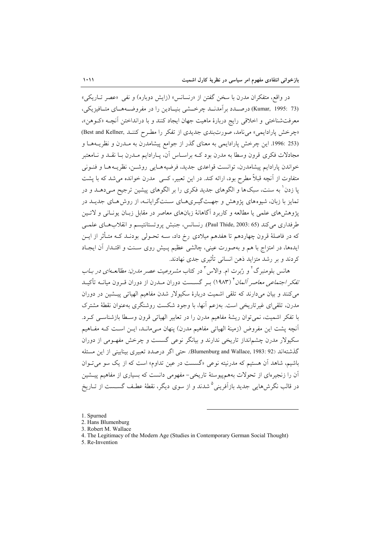در واقع، متفكران مدرن با سخن گفتن از «رنسانس» (زايش دوباره) و نفي «عصر تـاريكي» (23 Kumar, 1995: 73) درصـدد برآمدنــد چرخــشي بنيــادين را در مفروضــههــاي متــافيزيكي، معرفتشناختی و اخلاقی رایج دربارهٔ ماهیت جهان ایجاد کنند و با درانداختن آنچـه «کـوهن»، «چرخش پارادایمی» می نامد، صورتبندی جدیدی از تفکر را مطرح کننـد .Best and Kellner) (253 :1996. این چرخش پارادایمی به معنای گذر از جوامع پیشامدرن به مـدرن و نظریــههــا و مجادلات فکری قرون وسطا به مدرن بود کـه براســاس آن، پــارادايم مــدرن بــا نقــد و نــامعتبر خواندن پارادايم پيشامدرن، توانست قواعدي جديد، فرضيههايي روشـن، نظريــههـا و فنــوني متفاوت از آنچه قبلاً مطرح بود، ارائه کند. در این تعبیر، کسی ً مدرن خوانده می شد که با پشت یا زدن<sup>۱</sup> به سنت، سبکها و الگوهای جدید فکری را بر الگوهای پیشین ترجیح مـیدهــد و در تمایز با زبان، شیوههای پژوهش و جهـتگیـریهـای سـنتگرایانــه، از روش هـای جدیــد در یژوهش های علمی یا مطالعه و کاربرد آگاهانهٔ زبانهای معاصر در مقابل زبـان یونـانی و لاتـین طرفداري مي كند (Paul Thide, 2003: 65). رنسانس، جنبش پروتستانتيسم و انقلابهاي علمي که در فاصلهٔ قرون چهاردهم تا هفدهم میلادی رخ داد، ســه تحــولی بودنــد کــه متــأثر از ایــن ایدهها، در امتزاج با هم و بهصورت عینی، چالشی عظیم پـیش روی سـنت و اقتـدار آن ایجـاد کردند و بر رشد متزاید ذهن انسانی تأثیری جدی نهادند.

هانس بلومنبرگ<sup>۲</sup> و رُبرت ام. والاس ٌ در کتاب *مشروعیت عصر مدرن: مطالعـهای در بـاب* ت*فکر اجتماعی معاصر آلمان* <sup>۱</sup> (۱۹۸۳) بـر گســست دوران مــدرن از دوران قــرون میانــه تأکیــد می کنند و بیان می دارند که تلقی اشمیت دربارهٔ سکیولار شدن مفاهیم الهیاتی پیشین در دوران مدرن، تلقی ای غیر تاریخی است. بهزعم آنها، با وجود شکست روشنگری بهعنوان نقطهٔ مشترک با تفکر اشمیت، نمیتوان ریشهٔ مفاهیم مدرن را در تعابیر الهیاتی قرون وسطا بازشناسبی کرد. آنچه پشت این مفروض (زمینهٔ الهیاتی مفاهیم مدرن) پنهان مے مانـد، ایـن اسـت کـه مفـاهیم سکیولار مدرن چشم|نداز تاریخی ندارند و بیانگر نوعی گسست و چرخش مفهـومی از دوران گذشتهاند (Blumenburg and Wallace, 1983: 92). حتى اگر درصدد تعبيرى بينابيني از اين مسئله باشیم، شاهد آن هستیم که مدرنیته نوعی «گسست در عین تداوم» است که از یک سو می تـوان آن را زنجیرهای از تحولات بههم پیوستهٔ تاریخی- مفهومی دانست که بسیاری از مفاهیم پیـشین در قالب نگرشهایی جدید بازآفرینی<sup>۵</sup> شدند و از سوی دیگر، نقطهٔ عطـف گســست از تــاریخ

<sup>1.</sup> Spurned

<sup>2.</sup> Hans Blumenburg

<sup>3.</sup> Robert M. Wallace

<sup>4.</sup> The Legitimacy of the Modern Age (Studies in Contemporary German Social Thought)

<sup>5.</sup> Re-Invention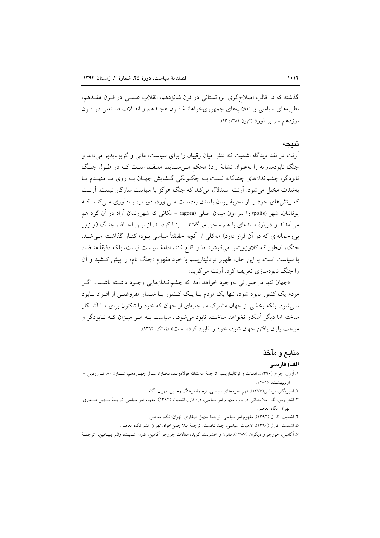گذشته که در قالب اصلاحگری پروتستانی در قرن شانزدهم، انقلاب علمـی در قـرن هفـدهم، نظریههای سیاسی و انقلابهای جمهوریخواهانـهٔ قـرن هجـدهم و انقــلاب صـنعتی در قــرن نوز دهم سر بر آورد (کهون ۱۳۸۱: ۱۳).

### نتبجه

آرنت در نقد دیدگاه اشمیت که تنش میان رقیبان را برای سیاست، ذاتی و گریزناپذیر میداند و جنگ نابودسازانه را بهعنوان نشانهٔ ارادهٔ محکم مے ستاید، معتقـد اسـت کـه در طـول جنـگ نابودگر، چشم|ندازهای چندگانه نسبت بـه چگـونگی گـشایش جهـان بـه روی مـا منهـدم پـا بهشدت مختل می شود. اَرنت استدلال می کند که جنگ هرگز با سیاست سازگار نیست. اَرنت که بینشهای خود را از تجربهٔ یونان باستان بهدست مـی|آورد، دوبـاره پـاداّوری مـی کنـد کـه یونانیان، شهر (polis) را پیرامون میدان اصلی (agora) – مکانی که شهروندان آزاد در آن گرد هم میآمدند و دربارهٔ مسئلهای با هم سخن میگفتند – بنـا کردنــد. از ایــن لحــاظ، جنـگ (و زور بی رحمانهای که در آن قرار دارد) «بهکلی از آنچه حقیقتاً سیاسی بود» کنـار گذاشـته مـی شـد. جنگ، آنطور که کلاوزویتس میکوشید ما را قانع کند، ادامهٔ سیاست نیست، بلکه دقیقاً متــضاد با سیاست است. با این حال، ظهور توتالیتاریسم با خود مفهوم «جنگ تام» را پیش کـشید و آن را جنگ نابودسازی تعریف کرد. آرنت مرگوید:

«جهان تنها در صورتی بهوجود خواهد آمد که چشم|نـدازهایی وجـود داشـته باشـد... اگـر مردم یک کشور نابود شود، تنها یک مردم یـا یـک کـشور یـا شـمار مفروضـی از افـراد نـابود نمی شود، بلکه بخشی از جهان مشترک ما، جنبهای از جهان که خود را تاکنون برای مـا آشـکار ساخته اما دیگر آشکار نخواهد ساخت، نابود می شود... سیاست بـه هـر میـزان کـه نـابودگر و موجب پایان یافتن جهان شود، خود را نابود کرده است» (ژیانگ، ۱۳۹۲).

#### منابع و مآخذ

#### الف) فارسى

- ١. أرول، جرج (١٣٩٠)، ادبيات و توتاليتاريسم، ترجمهٔ عزتالله فولادونـد، بخـارا، سـال چهـاردهم، شـمارهٔ ٨٠ فـروردين اردسهشت: ۱۶–۱۲.
	- ۲. اسپریگنز، توماس(۱۳۷۷). فهم نظریههای سیاسی. ترجمهٔ فرهنگ رجایی. تهران: آگاه.
- ۳. اشتراوس، لئو، ملاحظاتی در باب مفهوم امر سیاسی، در: کارل اشمیت (۱۳۹۲). مفهوم امر سیاسی. ترجمهٔ سـهیل صـفاری. تهران: نگاه معاصر.
	- ۴. اشمیت، کارل (۱۳۹۲). مفهوم امر سیاسی. ترجمهٔ سهیل صفاری. تهران: نگاه معاصر.
	- ۵. اشمیت، کارل (۱۳۹۰). الاهیات سیاسی. جلد نخست. ترجمهٔ لیلا چمنخواه، تهران: نشر نگاه معاصر.
- ۶. آگامبن، جورجو و دیگران (۱۳۸۷). قانون و خشونت: گزیده مقالات جورجو آگامبن، کارل اشمیت، والتر بنیـامین. ترجمـهٔ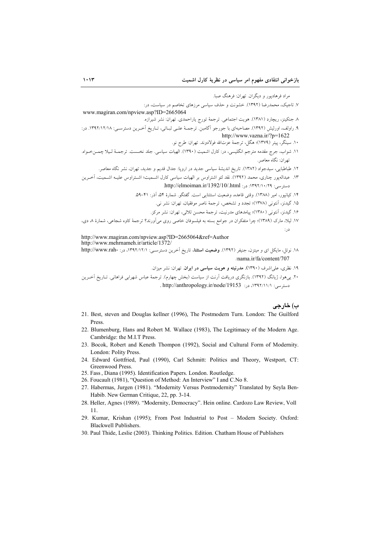مراد فرهادیور و دیگران. تهران: فرهنگ صبا. ۷. تاجیک، محمدرضا (۱۳۹۲). خشونت و حذف سیاسی مرزهای تخاصم در سیاست، در: www.magiran.com/npview.asp?ID=2665064 ٨ جنكينز، ريچارد (١٣٨١). هويت اجتماعي. ترجمهٔ تورج ياراحمدي. تهران: نشر شيرازه. ۹. راولف، اورلیش (۱۳۹۲). مصاحبهای با جورجو آگامبن. ترجمـهٔ علـی ثبـاتی، تـاریخ آخـرین دسترسـی: ۱۳۹۲/۱۲/۱۸. در: http://www.vazna.ir/?p=1622 ۱۰. سینگر، پیتر (۱۳۷۹)؛ هگل، ترجمهٔ عُزتالله فولادوند. تهران: طرح نو. ١١. شواب، جرج مقدمه مترجم انگلیسی، در: کارل اشمیت (١٣٩٠). الهیات سیاسی. جلد نخـست. ترجمــهٔ لـیلا چمــنخـواه. تھ ان: نگاه معاصر . ۱۲. طباطبایی، سیدجواد (۱۳۸۲). تاریخ اندیشهٔ سیاسی جدید در اروپا: جدال قدیم و جدید، تهران، نشر نگاه معاصر. ۱۳. عبداله،یور چناری، محمد (۱۳۹۲). نقد لئو اشتراوس بر الهیات سیاسی کارل اشــمیت؛ اشــتراوس علیــه اشــمیت، آخــرین دسترسی: ۱۳۹۲/۱۰/۲۹: در: http://elmoiman.ir/1392/10/.html. ۰۱۴. کیانپور، امیر (۱۳۸۸). وقتی قاعده، وضعیت استثنایی است. گفتگو. شمارهٔ ۵۴ آذر: ۴۱–۵۹. ١۵. گيدنز، آنتوني (١٣٧٨)؛ تجدد و تشخص، ترجمهٔ ناصر موفقيان، تهران: نشر ني. ۱۶. گیدنز، آنتونی (۱۳۸۰)؛ پیامدهای مدرنیت، ترجمهٔ محسن ثلاثی، تهران: نشر مرکز. ۱۷. لیلا، مارک (۱۳۸۹)؛ چرا متفکران در جوامع بسته به فیلسوفان خاصی روی میآورند؟ ترجمهٔ کاوه شجاعی، شمارهٔ ۸ دی، در : http://www.magiran.com/npview.asp?ID=2665064&ref=Author http://www.mehrnameh.ir/article/1372/ ۱۸. نوئل، مایکل ای و میتزن، جنیفر (۱۳۹۲). **وضعیت استثنا،** تاریخ اَخرین دسترســی: ۱۳۹۲/۱۲/۱)، در: -http://www.rah /nama.ir/fa/content/707

۱۹. نظری، علی اشرف (۱۳۹۰). مد**رنیته و هویت سیاسی در ایران**. تهران: نشر میزان.

۲۰. یی هوا، ژیانگ (۱۳۹۲). بازنگری دریافت آرنت از سیاست (بخش چهارم). ترجمهٔ عباس شهرابی فراهانی. تــاریخ آخـرین . دسترسی: ۱۳۹۲/۱۱/۱، در: http://anthropology.ir/node/19153.

#### ب) خارجي

- 21. Best, steven and Douglas kellner (1996), The Postmodern Turn. London: The Guilford Press.
- 22. Blumenburg, Hans and Robert M. Wallace (1983), The Legitimacy of the Modern Age. Cambridge: the M.I.T Press.
- 23. Bocok, Robert and Keneth Thompon (1992), Social and Cultural Form of Modernity. London: Polity Press.
- 24. Edward Gottfried, Paul (1990), Carl Schmitt: Politics and Theory, Westport, CT: **Greenwood Press**
- 25. Fass, Diana (1995). Identification Papers. London. Routledge.
- 26. Foucault (1981), "Question of Method: An Interview" I and C.No 8.
- 27. Habermas, Jurgen (1981). "Modernity Versus Postmodernity" Translated by Seyla Ben-Habib. New German Critique, 22, pp. 3-14.
- 28. Heller, Agnes (1989). "Modernity, Democracy". Hein online. Cardozo Law Review, Voll  $11.$
- 29. Kumar, Krishan (1995); From Post Industrial to Post Modern Society. Oxford: **Blackwell Publishers**
- 30. Paul Thide, Leslie (2003). Thinking Politics. Edition. Chatham House of Publishers